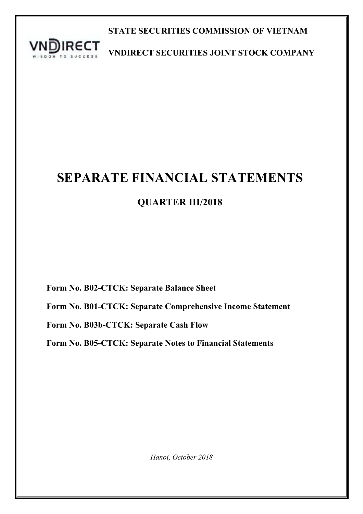

**STATE SECURITIES COMMISSION OF VIETNAM**

**VNDIRECT SECURITIES JOINT STOCK COMPANY**

# **SEPARATE FINANCIAL STATEMENTS**

# **QUARTER III/2018**

**Form No. B02-CTCK: Separate Balance Sheet**

**Form No. B01-CTCK: Separate Comprehensive Income Statement**

**Form No. B03b-CTCK: Separate Cash Flow**

**Form No. B05-CTCK: Separate Notes to Financial Statements**

*Hanoi, October 2018*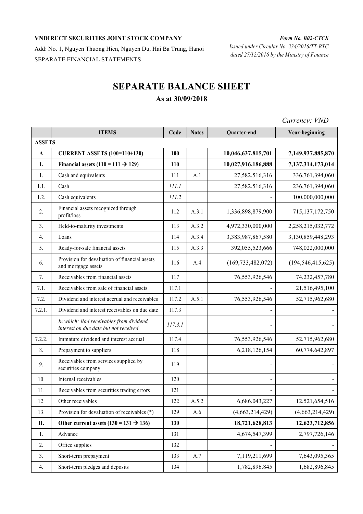Add: No. 1, Nguyen Thuong Hien, Nguyen Du, Hai Ba Trung, Hanoi SEPARATE FINANCIAL STATEMENTS

# **SEPARATE BALANCE SHEET As at 30/09/2018**

|               |                                                                                   |         |              |                      | $C$ <i>urrency. <math>VIVD</math></i> |
|---------------|-----------------------------------------------------------------------------------|---------|--------------|----------------------|---------------------------------------|
|               | <b>ITEMS</b>                                                                      | Code    | <b>Notes</b> | Quarter-end          | Year-beginning                        |
| <b>ASSETS</b> |                                                                                   |         |              |                      |                                       |
| $\mathbf{A}$  | <b>CURRENT ASSETS (100=110+130)</b>                                               | 100     |              | 10,046,637,815,701   | 7,149,937,885,870                     |
| I.            | Financial assets $(110 = 111 \rightarrow 129)$                                    | 110     |              | 10,027,916,186,888   | 7,137,314,173,014                     |
| 1.            | Cash and equivalents                                                              | 111     | A.1          | 27,582,516,316       | 336,761,394,060                       |
| 1.1.          | Cash                                                                              | III.I   |              | 27,582,516,316       | 236,761,394,060                       |
| 1.2.          | Cash equivalents                                                                  | 111.2   |              |                      | 100,000,000,000                       |
| 2.            | Financial assets recognized through<br>profit/loss                                | 112     | A.3.1        | 1,336,898,879,900    | 715, 137, 172, 750                    |
| 3.            | Held-to-maturity investments                                                      | 113     | A.3.2        | 4,972,330,000,000    | 2,258,215,032,772                     |
| 4.            | Loans                                                                             | 114     | A.3.4        | 3,383,987,867,580    | 3,130,859,448,293                     |
| 5.            | Ready-for-sale financial assets                                                   | 115     | A.3.3        | 392,055,523,666      | 748,022,000,000                       |
| 6.            | Provision for devaluation of financial assets<br>and mortgage assets              | 116     | A.4          | (169, 733, 482, 072) | (194, 546, 415, 625)                  |
| 7.            | Receivables from financial assets                                                 | 117     |              | 76,553,926,546       | 74,232,457,780                        |
| 7.1.          | Receivables from sale of financial assets                                         | 117.1   |              |                      | 21,516,495,100                        |
| 7.2.          | Dividend and interest accrual and receivables                                     | 117.2   | A.5.1        | 76,553,926,546       | 52,715,962,680                        |
| 7.2.1.        | Dividend and interest receivables on due date                                     | 117.3   |              |                      |                                       |
|               | In which: Bad receivables from dividend,<br>interest on due date but not received | 117.3.1 |              |                      |                                       |
| 7.2.2.        | Immature dividend and interest accrual                                            | 117.4   |              | 76,553,926,546       | 52,715,962,680                        |
| 8.            | Prepayment to suppliers                                                           | 118     |              | 6,218,126,154        | 60,774.642,897                        |
| 9.            | Receivables from services supplied by<br>securities company                       | 119     |              | $\overline{a}$       |                                       |
| 10.           | Internal receivables                                                              | 120     |              | ÷                    |                                       |
| 11.           | Receivables from securities trading errors                                        | 121     |              |                      |                                       |
| 12.           | Other receivables                                                                 | 122     | A.5.2        | 6,686,043,227        | 12,521,654,516                        |
| 13.           | Provision for devaluation of receivables (*)                                      | 129     | A.6          | (4,663,214,429)      | (4,663,214,429)                       |
| П.            | Other current assets $(130 = 131 \rightarrow 136)$                                | 130     |              | 18,721,628,813       | 12,623,712,856                        |
| 1.            | Advance                                                                           | 131     |              | 4,674,547,399        | 2,797,726,146                         |
| 2.            | Office supplies                                                                   | 132     |              |                      |                                       |
| 3.            | Short-term prepayment                                                             | 133     | A.7          | 7,119,211,699        | 7,643,095,365                         |
| 4.            | Short-term pledges and deposits                                                   | 134     |              | 1,782,896.845        | 1,682,896,845                         |

*Currency: VND*

*Form No. B02-CTCK*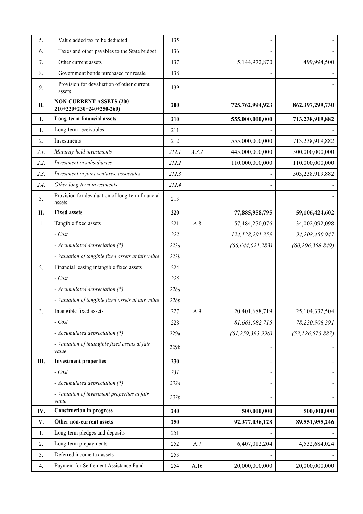| 5.           | Value added tax to be deducted                                | 135   |       |                              |                     |
|--------------|---------------------------------------------------------------|-------|-------|------------------------------|---------------------|
| 6.           | Taxes and other payables to the State budget                  | 136   |       |                              |                     |
| 7.           | Other current assets                                          | 137   |       | 5,144,972,870                | 499,994,500         |
| 8.           | Government bonds purchased for resale                         | 138   |       |                              |                     |
| 9.           | Provision for devaluation of other current<br>assets          | 139   |       |                              |                     |
| <b>B.</b>    | <b>NON-CURRENT ASSETS (200 =</b><br>$210+220+230+240+250-260$ | 200   |       | 725,762,994,923              | 862, 397, 299, 730  |
| Ι.           | Long-term financial assets                                    | 210   |       | 555,000,000,000              | 713,238,919,882     |
| 1.           | Long-term receivables                                         | 211   |       |                              |                     |
| 2.           | Investments                                                   | 212   |       | 555,000,000,000              | 713,238,919,882     |
| 2.I.         | Maturity-held investments                                     | 212.1 | A.3.2 | 445,000,000,000              | 300,000,000,000     |
| 2.2.         | Investment in subsidiaries                                    | 212.2 |       | 110,000,000,000              | 110,000,000,000     |
| 2.3.         | Investment in joint ventures, associates                      | 212.3 |       |                              | 303,238.919,882     |
| 2.4.         | Other long-term investments                                   | 212.4 |       |                              |                     |
| 3.           | Provision for devaluation of long-term financial<br>assets    | 213   |       |                              |                     |
| II.          | <b>Fixed assets</b>                                           | 220   |       | 77,885,958,795               | 59,106,424,602      |
| $\mathbf{1}$ | Tangible fixed assets                                         | 221   | A.8   | 57,484,270,076               | 34,002,092,098      |
|              | $-Cost$                                                       | 222   |       | 124, 128, 291, 359           | 94,208,450,947      |
|              | - Accumulated depreciation (*)                                | 223a  |       | (66, 644, 021, 283)          | (60, 206, 358.849)  |
|              | - Valuation of tangible fixed assets at fair value            | 223b  |       |                              |                     |
| 2.           | Financial leasing intangible fixed assets                     | 224   |       |                              |                     |
|              | $-Cost$                                                       | 225   |       |                              |                     |
|              | - Accumulated depreciation (*)                                | 226a  |       |                              |                     |
|              | - Valuation of tangible fixed assets at fair value            | 226b  |       |                              |                     |
| 3.           | Intangible fixed assets                                       | 227   | A.9   | 20,401,688,719               | 25,104,332,504      |
|              | $-Cost$                                                       | 228   |       | 81,661,082,715               | 78,230,908,391      |
|              | - Accumulated depreciation (*)                                | 229a  |       | (61, 259, 393.996)           | (53, 126, 575, 887) |
|              | - Valuation of intangible fixed assets at fair<br>value       | 229b  |       |                              |                     |
| Ш.           | <b>Investment properties</b>                                  | 230   |       | $\qquad \qquad \blacksquare$ |                     |
|              | $-Cost$                                                       | 231   |       |                              |                     |
|              | - Accumulated depreciation (*)                                | 232a  |       | $\blacksquare$               |                     |
|              | - Valuation of investment properties at fair<br>value         | 232b  |       |                              |                     |
| IV.          | <b>Construction in progress</b>                               | 240   |       | 500,000,000                  | 500,000,000         |
| V.           | Other non-current assets                                      | 250   |       | 92,377,036,128               | 89,551,955,246      |
| 1.           | Long-term pledges and deposits                                | 251   |       |                              |                     |
| 2.           | Long-term prepayments                                         | 252   | A.7   | 6,407,012,204                | 4,532,684,024       |
| 3.           | Deferred income tax assets                                    | 253   |       |                              |                     |
| 4.           | Payment for Settlement Assistance Fund                        | 254   | A.16  | 20,000,000,000               | 20,000,000,000      |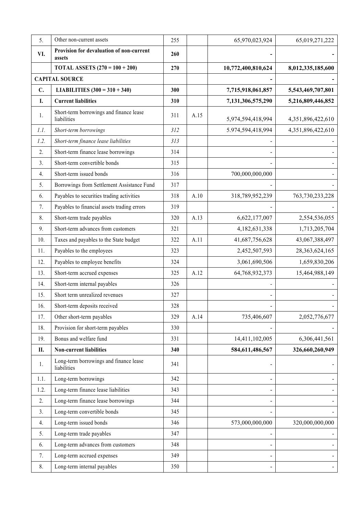| 5.   | Other non-current assets                               | 255 |      | 65,970,023,924               | 65,019,271,222    |
|------|--------------------------------------------------------|-----|------|------------------------------|-------------------|
| VI.  | Provision for devaluation of non-current<br>assets     | 260 |      |                              |                   |
|      | <b>TOTAL ASSETS</b> $(270 = 100 + 200)$                | 270 |      | 10,772,400,810,624           | 8,012,335,185,600 |
|      | <b>CAPITAL SOURCE</b>                                  |     |      |                              |                   |
| C.   | LIABILITIES $(300 = 310 + 340)$                        | 300 |      | 7,715,918,061,857            | 5,543,469,707,801 |
| I.   | <b>Current liabilities</b>                             | 310 |      | 7,131,306,575,290            | 5,216,809,446,852 |
| 1.   | Short-term borrowings and finance lease<br>liabilities | 311 | A.15 | 5,974,594,418,994            | 4,351,896,422,610 |
| 1.1. | Short-term borrowings                                  | 312 |      | 5.974,594,418,994            | 4,351,896,422,610 |
| 1.2. | Short-term finance lease liabilities                   | 313 |      |                              |                   |
| 2.   | Short-term finance lease borrowings                    | 314 |      |                              |                   |
| 3.   | Short-term convertible bonds                           | 315 |      |                              |                   |
| 4.   | Short-term issued bonds                                | 316 |      | 700,000,000,000              |                   |
| 5.   | Borrowings from Settlement Assistance Fund             | 317 |      |                              |                   |
| 6.   | Payables to securities trading activities              | 318 | A.10 | 318,789,952,239              | 763,730,233,228   |
| 7.   | Payables to financial assets trading errors            | 319 |      |                              |                   |
| 8.   | Short-term trade payables                              | 320 | A.13 | 6,622,177,007                | 2,554,536,055     |
| 9.   | Short-term advances from customers                     | 321 |      | 4,182,631,338                | 1,713,205,704     |
| 10.  | Taxes and payables to the State budget                 | 322 | A.11 | 41,687,756,628               | 43,067,388,497    |
| 11.  | Payables to the employees                              | 323 |      | 2,452,507,593                | 28,363,624,165    |
| 12.  | Payables to employee benefits                          | 324 |      | 3,061,690,506                | 1,659,830,206     |
| 13.  | Short-term accrued expenses                            | 325 | A.12 | 64,768,932,373               | 15,464,988,149    |
| 14.  | Short-term internal payables                           | 326 |      |                              |                   |
| 15.  | Short term unrealized revenues                         | 327 |      |                              |                   |
| 16.  | Short-term deposits received                           | 328 |      |                              |                   |
| 17.  | Other short-term payables                              | 329 | A.14 | 735,406,607                  | 2,052,776,677     |
| 18.  | Provision for short-term payables                      | 330 |      |                              |                   |
| 19.  | Bonus and welfare fund                                 | 331 |      | 14,411,102,005               | 6,306,441,561     |
| П.   | <b>Non-current liabilities</b>                         | 340 |      | 584,611,486,567              | 326,660,260,949   |
| 1.   | Long-term borrowings and finance lease<br>liabilities  | 341 |      |                              |                   |
| 1.1. | Long-term borrowings                                   | 342 |      | $\overline{\phantom{a}}$     |                   |
| 1.2. | Long-term finance lease liabilities                    | 343 |      | $\qquad \qquad \blacksquare$ |                   |
| 2.   | Long-term finance lease borrowings                     | 344 |      | $\blacksquare$               |                   |
| 3.   | Long-term convertible bonds                            | 345 |      |                              |                   |
| 4.   | Long-term issued bonds                                 | 346 |      | 573,000,000,000              | 320,000,000,000   |
| 5.   | Long-term trade payables                               | 347 |      |                              |                   |
| 6.   | Long-term advances from customers                      | 348 |      | $\qquad \qquad \blacksquare$ |                   |
| 7.   | Long-term accrued expenses                             | 349 |      | $\blacksquare$               |                   |
| 8.   | Long-term internal payables                            | 350 |      |                              |                   |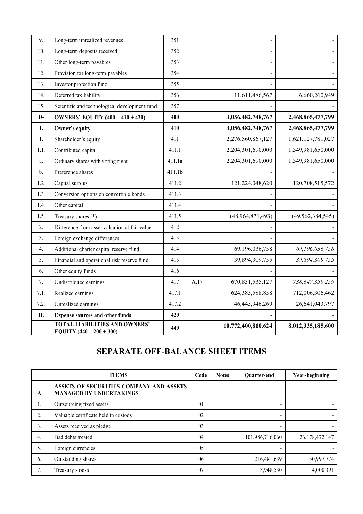| 9.             | Long-term unrealized revenues                                      | 351    |      | ÷,                 |                     |
|----------------|--------------------------------------------------------------------|--------|------|--------------------|---------------------|
| 10.            | Long-term deposits received                                        | 352    |      |                    |                     |
| 11.            | Other long-term payables                                           | 353    |      | ÷,                 |                     |
| 12.            | Provision for long-term payables                                   | 354    |      |                    |                     |
| 13.            | Investor protection fund                                           | 355    |      |                    |                     |
| 14.            | Deferred tax liability                                             | 356    |      | 11,611,486,567     | 6.660,260,949       |
| 15.            | Scientific and technological development fund                      | 357    |      |                    |                     |
| $D-$           | <b>OWNERS' EQUITY (400 = 410 + 420)</b>                            | 400    |      | 3,056,482,748,767  | 2,468,865,477,799   |
| I.             | Owner's equity                                                     | 410    |      | 3,056,482,748,767  | 2,468,865,477,799   |
| 1.             | Shareholder's equity                                               | 411    |      | 2,276,560,867,127  | 1,621,127,781,027   |
| 1.1.           | Contributed capital                                                | 411.1  |      | 2,204,301,690,000  | 1,549,981,650,000   |
| a.             | Ordinary shares with voting right                                  | 411.1a |      | 2,204,301,690,000  | 1,549,981,650,000   |
| $\mathbf{b}$ . | Preference shares                                                  | 411.1b |      |                    |                     |
| 1.2.           | Capital surplus                                                    | 411.2  |      | 121,224,048,620    | 120,708,515,572     |
| 1.3.           | Conversion options on convertible bonds                            | 411.3  |      |                    |                     |
| 1.4.           | Other capital                                                      | 411.4  |      |                    |                     |
| 1.5.           | Treasury shares (*)                                                | 411.5  |      | (48,964,871,493)   | (49, 562, 384, 545) |
| 2.             | Difference from asset valuation at fair value                      | 412    |      |                    |                     |
| 3.             | Foreign exchange differences                                       | 413    |      |                    |                     |
| 4.             | Additional charter capital reserve fund                            | 414    |      | 69,196,036,758     | 69,196,036,758      |
| 5.             | Financial and operational risk reserve fund                        | 415    |      | 39,894,309,755     | 39,894,309,755      |
| 6.             | Other equity funds                                                 | 416    |      |                    |                     |
| 7.             | Undistributed earnings                                             | 417    | A.17 | 670, 831, 535, 127 | 738,647,350,259     |
| 7.1.           | Realized earnings                                                  | 417.1  |      | 624, 385, 588, 858 | 712,006,306,462     |
| 7.2.           | Unrealized earnings                                                | 417.2  |      | 46,445,946.269     | 26,641,043,797      |
| П.             | <b>Expense sources and other funds</b>                             | 420    |      |                    |                     |
|                | <b>TOTAL LIABILITIES AND OWNERS'</b><br>EQUITY $(440 = 200 + 300)$ | 440    |      | 10,772,400,810,624 | 8,012,335,185,600   |

# **SEPARATE OFF-BALANCE SHEET ITEMS**

|    | <b>ITEMS</b>                                                              | Code           | <b>Notes</b> | Quarter-end     | Year-beginning |
|----|---------------------------------------------------------------------------|----------------|--------------|-----------------|----------------|
| A  | ASSETS OF SECURITIES COMPANY AND ASSETS<br><b>MANAGED BY UNDERTAKINGS</b> |                |              |                 |                |
| 1. | Outsourcing fixed assets                                                  | 0 <sub>1</sub> |              |                 |                |
| 2. | Valuable certificate held in custody                                      | 02             |              | -               |                |
| 3. | Assets received as pledge                                                 | 03             |              |                 |                |
| 4. | Bad debts treated                                                         | 04             |              | 101,986,716,060 | 26,178,472,147 |
| 5. | Foreign currencies                                                        | 05             |              | ۰               |                |
| 6. | Outstanding shares                                                        | 06             |              | 216,481,639     | 150,997,774    |
| 7. | Treasury stocks                                                           | 07             |              | 3,948,530       | 4,000,391      |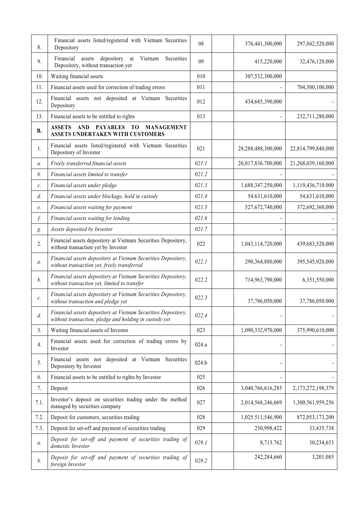| 8.             | Financial assets listed/registered with Vietnam Securities<br>Depository                                                  | 08    | 376,441,300,000    | 297,042,520,000    |
|----------------|---------------------------------------------------------------------------------------------------------------------------|-------|--------------------|--------------------|
| 9.             | Financial<br>assets<br>depository at<br>Vietnam<br>Securities<br>Depository, without transaction yet                      | 09    | 415,220,000        | 32,476,120,000     |
| 10.            | Waiting financial assets                                                                                                  | 010   | 307,532,300,000    |                    |
| 11.            | Financial assets used for correction of trading errors                                                                    | 011   |                    | 704,500,100,000    |
| 12.            | Financial assets not deposited at Vietnam Securities<br>Depository                                                        | 012   | 434,685,390,000    |                    |
| 13.            | Financial assets to be entitled to rights                                                                                 | 013   |                    | 232,711,280,000    |
| <b>B.</b>      | <b>ASSETS</b><br>AND<br><b>PAYABLES</b><br>T <sub>0</sub><br><b>MANAGEMENT</b><br><b>ASSETS UNDERTAKEN WITH CUSTOMERS</b> |       |                    |                    |
| 1.             | Financial assets listed/registered with Vietnam Securities<br>Depository of Investor                                      | 021   | 28,288,488,300,000 | 22,814,799,840,000 |
| a.             | Freely transferred financial assets                                                                                       | 021.1 | 26,017,836.700,000 | 21,268,039,160,000 |
| $b$ .          | Financial assets limited to transfer                                                                                      | 021.2 |                    |                    |
| $\mathcal{C}.$ | Financial assets under pledge                                                                                             | 021.3 | 1,688,347.250,000  | 1,119,436,710.000  |
| $d$ .          | Financial assets under blockage, hold in custody                                                                          | 021.4 | 54.631,610,000     | 54,631,610,000     |
| e.             | Financial assets waiting for payment                                                                                      | 021.5 | 527,672,740,000    | 372,692,360,000    |
| f.             | Financial assets waiting for lending                                                                                      | 021.6 |                    |                    |
| g.             | Assets deposited by Investor                                                                                              | 021.7 |                    |                    |
| 2.             | Financial assets depository at Vietnam Securities Depository,<br>without transaction yet by Investor                      | 022   | 1,043,114,720,000  | 439,683,520,000    |
| a.             | Financial assets depository at Vietnam Securities Depository,<br>without transaction yet, freely transferred              | 022.1 | 290,364,880,000    | 395,545,920,000    |
| b.             | Financial assets depository at Vietnam Securities Depository,<br>without transaction yet, limited to transfer             | 022.2 | 714,963,790,000    | 6,351,550,000      |
| $\mathcal{C}.$ | Financial assets depository at Vietnam Securities Depository,<br>without transaction and pledge yet                       | 022.3 | 37,786,050,000     | 37,786,050.000     |
| d.             | Financial assets depository at Vietnam Securities Depository,<br>without transaction, pledge and holding in custody yet   | 022.4 |                    |                    |
| 3.             | Waiting financial assets of Investor                                                                                      | 023   | 1,090,332,970,000  | 375,990,610,000    |
| 4.             | Financial assets used for correction of trading errors by<br>Investor                                                     | 024.a |                    |                    |
| 5.             | Financial assets not deposited at Vietnam Securities<br>Depository by Investor                                            | 024.b |                    |                    |
| 6.             | Financial assets to be entitled to rights by Investor                                                                     | 025   |                    |                    |
| 7.             | Deposit                                                                                                                   | 026   | 3,040,766,616,285  | 2,173,272,198,379  |
| 7.1.           | Investor's deposit on securities trading under the method<br>managed by securities company                                | 027   | 2,014,568,246,669  | 1,300,561,959,256  |
| 7.2.           | Deposit for customers, securities trading                                                                                 | 028   | 1,025.511,546,900  | 872,053,173,200    |
| 7.3.           | Deposit for set-off and payment of securities trading                                                                     | 029   | 250,998,422        | 33,435,738         |
| a.             | Deposit for set-off and payment of securities trading of<br>domestic Investor                                             | 029.1 | 8,713.762          | 30,234,653         |
| b.             | Deposit for set-off and payment of securities trading of<br>foreign Investor                                              | 029.2 | 242,284,660        | 3,201,085          |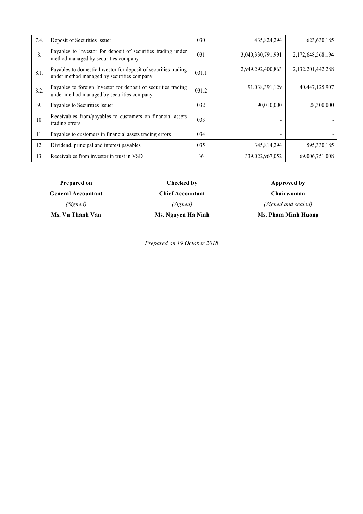| 7.4. | Deposit of Securities Issuer                                                                                  | 030   | 435,824,294       | 623, 630, 185     |
|------|---------------------------------------------------------------------------------------------------------------|-------|-------------------|-------------------|
| 8.   | Payables to Investor for deposit of securities trading under<br>method managed by securities company          | 031   | 3,040,330,791,991 | 2,172,648,568,194 |
| 8.1. | Payables to domestic Investor for deposit of securities trading<br>under method managed by securities company | 031.1 | 2,949,292,400,863 | 2,132,201,442,288 |
| 8.2. | Payables to foreign Investor for deposit of securities trading<br>under method managed by securities company  | 031.2 | 91,038,391,129    | 40,447,125,907    |
| 9.   | Payables to Securities Issuer                                                                                 | 032   | 90,010,000        | 28,300,000        |
| 10.  | Receivables from/payables to customers on financial assets<br>trading errors                                  | 033   |                   |                   |
| 11.  | Payables to customers in financial assets trading errors                                                      | 034   | -                 |                   |
| 12.  | Dividend, principal and interest payables                                                                     | 035   | 345,814,294       | 595,330,185       |
| 13.  | Receivables from investor in trust in VSD                                                                     | 36    | 339,022,967,052   | 69,006,751,008    |

| Prepared on<br>Checked by |                         | Approved by         |
|---------------------------|-------------------------|---------------------|
| <b>General Accountant</b> | <b>Chief Accountant</b> | <b>Chairwoman</b>   |
| (Signed)                  | (Signed)                | (Signed and sealed) |
| Ms. Vu Thanh Van          | Ms. Nguyen Ha Ninh      | Ms. Pham Minh Huong |

*Prepared on 19 October 2018*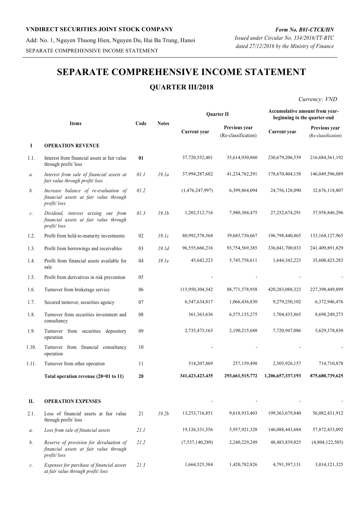Add: No. 1, Nguyen Thuong Hien, Nguyen Du, Hai Ba Trung, Hanoi SEPARATE COMPREHENSIVE INCOME STATEMENT

# **SEPARATE COMPREHENSIVE INCOME STATEMENT**

## **QUARTER III/2018**

*Currency: VND*

|       |                                                                                                  |      |                   |                    | <b>Ouarter II</b>                    | Accumulative amount from year-<br>beginning to the quarter-end |                                      |
|-------|--------------------------------------------------------------------------------------------------|------|-------------------|--------------------|--------------------------------------|----------------------------------------------------------------|--------------------------------------|
|       | <b>Items</b>                                                                                     | Code | <b>Notes</b>      | Current year       | Previous year<br>(Re-classification) | Current year                                                   | Previous year<br>(Re-classification) |
| Ι     | <b>OPERATION REVENUE</b>                                                                         |      |                   |                    |                                      |                                                                |                                      |
| 1.1.  | Interest from financial assets at fair value<br>through profit/loss                              | 01   |                   | 37,720,552,401     | 55,614,930,860                       | 230,679,206,539                                                | 216,684,561,192                      |
| а.    | Interest from sale of financial assets at<br>fair value through profit/loss                      | 01.1 | 19.1a             | 37,994,287,682     | 41,234,762,291                       | 178,670,404,158                                                | 146,049,596,089                      |
| b.    | Increase balance of re-evaluation of<br>financial assets at fair value through<br>profit/loss    | 01.2 |                   | (1,476,247,997)    | 6,399,864,094                        | 24,756,128,090                                                 | 32,676,118,807                       |
| с.    | Dividend, interest arising out from<br>financial assets at fair value through<br>profit/loss     | 01.3 | 19.1 <sub>b</sub> | 1,202,512,716      | 7,980,304,475                        | 27,252,674,291                                                 | 37,958,846,296                       |
| 1.2.  | Profit from held-to-maturity investments                                                         | 02   | 19.1c             | 80,992,578,568     | 39,685,730,667                       | 196,798,440,865                                                | 133, 164, 127, 965                   |
| 1.3.  | Profit from borrowings and receivables                                                           | 03   | 19.1d             | 96,555,666,216     | 93,754,569,385                       | 336,041,700,033                                                | 241,409,891,829                      |
| 1.4.  | Profit from financial assets available for<br>sale                                               | 04   | 19.1e             | 45,642,223         | 5,745,758,611                        | 1,644,342,223                                                  | 35,608,423,283                       |
| 1.5.  | Profit from derivatives in risk prevention                                                       | 05   |                   |                    |                                      |                                                                |                                      |
| 1.6.  | Turnover from brokerage service                                                                  | 06   |                   | 115,950,304,542    | 88,771,578,958                       | 420,283,088,323                                                | 227,398,449,899                      |
| 1.7.  | Secured turnover, securities agency                                                              | 07   |                   | 6,547,634,817      | 1,066,436,830                        | 9,279,250,102                                                  | 6,372,946,476                        |
| 1.8.  | Turnover from securities investment and<br>consultancy                                           | 08   |                   | 361, 363, 636      | 6,575,135,275                        | 1,704,435,865                                                  | 8,698,249,273                        |
| 1.9.  | Turnover from securities depository<br>operation                                                 | 09   |                   | 2,735,473,163      | 2,190,215,688                        | 7,720,947,086                                                  | 5,629,378,830                        |
| 1.10. | Turnover from financial consultancy<br>operation                                                 | 10   |                   |                    |                                      |                                                                |                                      |
| 1.11. | Turnover from other operation                                                                    | 11   |                   | 514,207,869        | 257,159,498                          | 2,505,926,157                                                  | 714,710,878                          |
|       | Total operation revenue $(20=01$ to 11)                                                          | 20   |                   | 341, 423, 423, 435 | 293,661,515,772                      | 1,206,657,337,193                                              | 875,680,739,625                      |
| П.    | <b>OPERATION EXPENSES</b>                                                                        |      |                   |                    |                                      |                                                                |                                      |
| 2.1.  | Loss of financial assets at fair value<br>through profit/loss                                    | 21   | 19.2b             | 13,253,716,851     | 9,618,933,403                        | 199, 363, 679, 840                                             | 56,082,431,912                       |
| а.    | Loss from sale of financial assets                                                               | 21.1 |                   | 19,126,331,556     | 5,957,921,328                        | 146,088,443,684                                                | 57,872,433,092                       |
| b.    | Reserve of provision for devaluation of<br>financial assets at fair value through<br>profit/loss | 21.2 |                   | (7,537,140,289)    | 2,240,229,249                        | 48,483,839,025                                                 | (4,804,122,505)                      |
| c.    | Expenses for purchase of financial assets<br>at fair value through profit/loss                   | 21.3 |                   | 1,664,525,584      | 1,420,782,826                        | 4,791,397,131                                                  | 3,014,121,325                        |

*Issued under Circular No. 334/2016/TT-BTC dated 27/12/2016 by the Ministry of Finance*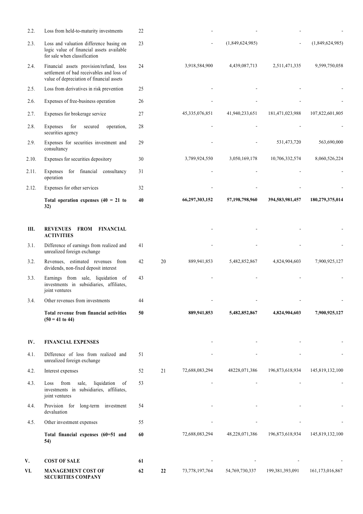| 2.2.  | Loss from held-to-maturity investments                                                                                            | 22 |    |                |                 |                 |                 |
|-------|-----------------------------------------------------------------------------------------------------------------------------------|----|----|----------------|-----------------|-----------------|-----------------|
| 2.3.  | Loss and valuation difference basing on<br>logic value of financial assets available<br>for sale when classification              | 23 |    |                | (1,849,624,985) |                 | (1,849,624,985) |
| 2.4.  | Financial assets provision/refund, loss<br>settlement of bad receivables and loss of<br>value of depreciation of financial assets | 24 |    | 3,918,584,900  | 4,439,087,713   | 2,511,471,335   | 9,599,750,058   |
| 2.5.  | Loss from derivatives in risk prevention                                                                                          | 25 |    |                |                 |                 |                 |
| 2.6.  | Expenses of free-business operation                                                                                               | 26 |    |                |                 |                 |                 |
| 2.7.  | Expenses for brokerage service                                                                                                    | 27 |    | 45,335,076,851 | 41,940,233,651  | 181,471,023,988 | 107,822,601,805 |
| 2.8.  | for<br>Expenses<br>secured<br>operation,<br>securities agency                                                                     | 28 |    |                |                 |                 |                 |
| 2.9.  | Expenses for securities investment and<br>consultancy                                                                             | 29 |    |                |                 | 531,473,720     | 563,690,000     |
| 2.10. | Expenses for securities depository                                                                                                | 30 |    | 3,789,924,550  | 3,050,169,178   | 10,706,332,574  | 8,060,526,224   |
| 2.11. | Expenses for financial consultancy<br>operation                                                                                   | 31 |    |                |                 |                 |                 |
| 2.12. | Expenses for other services                                                                                                       | 32 |    |                |                 |                 |                 |
|       | Total operation expenses $(40 = 21$ to<br>32)                                                                                     | 40 |    | 66,297,303,152 | 57,198,798,960  | 394,583,981,457 | 180,279,375,014 |
| Ш.    | <b>REVENUES FROM</b><br>FINANCIAL<br><b>ACTIVITIES</b>                                                                            |    |    |                |                 |                 |                 |
| 3.1.  | Difference of earnings from realized and<br>unrealized foreign exchange                                                           | 41 |    |                |                 |                 |                 |
| 3.2.  | Revenues, estimated revenues from<br>dividends, non-fixed deposit interest                                                        | 42 | 20 | 889,941,853    | 5,482,852,867   | 4,824,904,603   | 7,900,925,127   |
| 3.3.  | Earnings from sale, liquidation of<br>investments in subsidiaries, affiliates,<br>joint ventures                                  | 43 |    |                |                 |                 |                 |
| 3.4.  | Other revenues from investments                                                                                                   | 44 |    |                |                 |                 |                 |
|       | Total revenue from financial activities<br>$(50 = 41$ to 44)                                                                      | 50 |    | 889,941,853    | 5,482,852,867   | 4,824,904,603   | 7,900,925,127   |
| IV.   | <b>FINANCIAL EXPENSES</b>                                                                                                         |    |    |                |                 |                 |                 |
| 4.1.  | Difference of loss from realized and<br>unrealized foreign exchange                                                               | 51 |    |                |                 |                 |                 |
| 4.2.  | Interest expenses                                                                                                                 | 52 | 21 | 72,688,083,294 | 48228,071,386   | 196,873,618,934 | 145,819,132,100 |
| 4.3.  | sale,<br>liquidation<br>from<br>of<br>Loss<br>investments in subsidiaries, affiliates,<br>joint ventures                          | 53 |    |                |                 |                 |                 |
| 4.4.  | Provision for long-term investment<br>devaluation                                                                                 | 54 |    |                |                 |                 |                 |
| 4.5.  | Other investment expenses                                                                                                         | 55 |    |                |                 |                 |                 |
|       | Total financial expenses (60=51 and<br>54)                                                                                        | 60 |    | 72,688,083,294 | 48,228,071,386  | 196,873,618,934 | 145,819,132,100 |
| V.    | <b>COST OF SALE</b>                                                                                                               | 61 |    |                |                 |                 |                 |
| VI.   | <b>MANAGEMENT COST OF</b><br><b>SECURITIES COMPANY</b>                                                                            | 62 | 22 | 73,778,197,764 | 54,769,730,337  | 199,381,393,091 | 161,173,016,867 |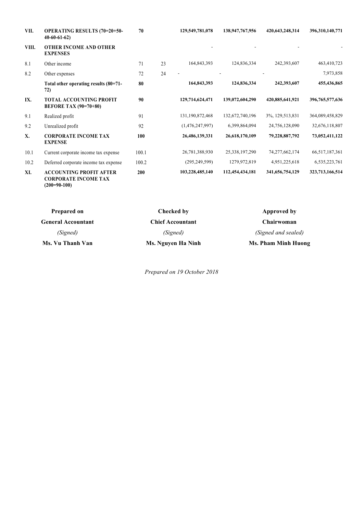| VII.  | <b>OPERATING RESULTS (70=20+50-</b><br>$40-60-61-62$           | 70    |    | 129,549,781,078 | 138,947,767,956 | 420,643,248,314   | 396,310,140,771    |
|-------|----------------------------------------------------------------|-------|----|-----------------|-----------------|-------------------|--------------------|
| VIII. | <b>OTHER INCOME AND OTHER</b><br><b>EXPENSES</b>               |       |    |                 |                 |                   |                    |
| 8.1   | Other income                                                   | 71    | 23 | 164,843,393     | 124,836,334     | 242,393,607       | 463,410,723        |
| 8.2   | Other expenses                                                 | 72    | 24 |                 |                 |                   | 7,973,858          |
|       | Total other operating results (80=71-<br>72)                   | 80    |    | 164,843,393     | 124,836,334     | 242,393,607       | 455,436,865        |
| IX.   | <b>TOTAL ACCOUNTING PROFIT</b><br><b>BEFORE TAX (90=70+80)</b> | 90    |    | 129,714,624,471 | 139,072,604,290 | 420,885,641,921   | 396, 765, 577, 636 |
| 9.1   | Realized profit                                                | 91    |    | 131,190,872,468 | 132,672,740,196 | 3%, 129, 513, 831 | 364,089,458,829    |
| 9.2   | Unrealized profit                                              | 92    |    | (1,476,247,997) | 6,399,864,094   | 24,756,128,090    | 32,676,118,807     |
| X.    | <b>CORPORATE INCOME TAX</b><br><b>EXPENSE</b>                  | 100   |    | 26,486,139,331  | 26,618,170,109  | 79,228,887,792    | 73,052,411,122     |
| 10.1  | Current corporate income tax expense                           | 100.1 |    | 26,781,388,930  | 25,338,197,290  | 74, 277, 662, 174 | 66,517,187,361     |
| 10.2  | Deferred corporate income tax expense                          | 100.2 |    | (295, 249, 599) | 1279,972,819    | 4,951,225,618     | 6,535,223,761      |
| XI.   | <b>ACCOUNTING PROFIT AFTER</b><br><b>CORPORATE INCOME TAX</b>  | 200   |    | 103,228,485,140 | 112,454,434,181 | 341,656,754,129   | 323,713,166,514    |

| Prepared on<br>Checked by |                         | Approved by         |
|---------------------------|-------------------------|---------------------|
| <b>General Accountant</b> | <b>Chief Accountant</b> | <b>Chairwoman</b>   |
| (Signed)                  | (Signed)                | (Signed and sealed) |
| Ms. Vu Thanh Van          | Ms. Nguyen Ha Ninh      | Ms. Pham Minh Huong |

**(200=90-100)**

*Prepared on 19 October 2018*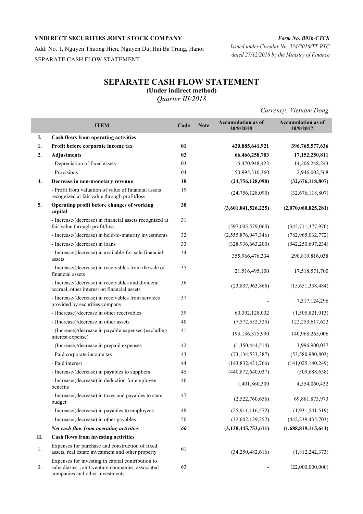Add: No. 1, Nguyen Thuong Hien, Nguyen Du, Hai Ba Trung, Hanoi SEPARATE CASH FLOW STATEMENT

## *Form No. B03b-CTCK Issued under Circular No. 334/2016/TT-BTC*

*dated 27/12/2016 by the Ministry of Finance*

# **SEPARATE CASH FLOW STATEMENT**

**(Under indirect method)**

*Quarter III/2018*

*Currency: Vietnam Dong*

|    | <b>ITEM</b>                                                                                                                               | Code | <b>Note</b> | <b>Accumulation as of</b><br>30/9/2018 | <b>Accumulation as of</b><br>30/9/2017 |
|----|-------------------------------------------------------------------------------------------------------------------------------------------|------|-------------|----------------------------------------|----------------------------------------|
| I. | Cash flows from operating activities                                                                                                      |      |             |                                        |                                        |
| 1. | Profit before corporate income tax                                                                                                        | 01   |             | 420,885,641,921                        | 396,765,577,636                        |
| 2. | <b>Adjustments</b>                                                                                                                        | 02   |             | 66,466,258,783                         | 17,152,250,811                         |
|    | - Depreciation of fixed assets                                                                                                            | 03   |             | 15,470,948,423                         | 14,206,248,243                         |
|    | - Provisions                                                                                                                              | 04   |             | 50,995,310,360                         | 2,946,002,568                          |
| 4. | Decrease in non-monetary revenue                                                                                                          | 18   |             | (24, 756, 128, 090)                    | (32,676,118,807)                       |
|    | - Profit from valuation of value of financial assets<br>recognized at fair value through profit/loss                                      | 19   |             | (24, 756, 128, 090)                    | (32,676,118,807)                       |
| 5. | Operating profit before changes of working<br>capital                                                                                     | 30   |             | (3,601,041,526,225)                    | (2,070,060,825,281)                    |
|    | - Increase/(decrease) in financial assets recognized at<br>fair value through profit/loss                                                 | 31   |             | (597,005,579,060)                      | (345,711,377,970)                      |
|    | - Increase/(decrease) in held-to-maturity investments                                                                                     | 32   |             | (2,555,876,047,346)                    | (782, 965, 032, 772)                   |
|    | - Increase/(decrease) in loans                                                                                                            | 33   |             | (328, 936, 663, 200)                   | (942, 250, 697, 234)                   |
|    | - Increase/(decrease) in available-for-sale financial<br>assets                                                                           | 34   |             | 355,966,476,334                        | 290,819,816,038                        |
|    | - Increase/(decrease) in receivables from the sale of<br>financial assets                                                                 | 35   |             | 21,516,495,100                         | 17,518,571,700                         |
|    | - Increase/(decrease) in receivables and dividend<br>accrual, other interest on financial assets                                          | 36   |             | (23,837,963,866)                       | (15,651,338,484)                       |
|    | - Increase/(decrease) in receivables from services<br>provided by securities company                                                      | 37   |             |                                        | 7,317,124,296                          |
|    | - (Increase)/decrease in other receivables                                                                                                | 39   |             | 60,392,128,032                         | (1,505,821,013)                        |
|    | - (Increase)/decrease in other assets                                                                                                     | 40   |             | (7,572,552,325)                        | 122,253,617,622                        |
|    | - (Increase)/decrease in payable expenses (excluding<br>interest expense)                                                                 | 41   |             | 193, 136, 375, 990                     | 140,968,265,006                        |
|    | - (Increase)/decrease in prepaid expenses                                                                                                 | 42   |             | (1,350,444,514)                        | 3,996,900,037                          |
|    | - Paid corporate income tax                                                                                                               | 43   |             | (73, 134, 533, 387)                    | (53,580,980,803)                       |
|    | - Paid interest                                                                                                                           | 44   |             | (143, 832, 431, 766)                   | (141, 025, 140, 249)                   |
|    | - Increase/(decrease) in payables to suppliers                                                                                            | 45   |             | (440,872,640,037)                      | (509, 688, 638)                        |
|    | - Increase/(decrease) in deduction for employee<br>benefits                                                                               | 46   |             | 1,401,860,300                          | 4,554,060,432                          |
|    | - Increase/(decrease) in taxes and payables to state<br>budget                                                                            | 47   |             | (2,522,760,656)                        | 69,881,873,973                         |
|    | - Increase/(decrease) in payables to employees                                                                                            | 48   |             | (25,911,116,572)                       | (1,931,541,519)                        |
|    | - Increase/(decrease) in other payables                                                                                                   | 50   |             | (32,602,129,252)                       | (442, 239, 435, 703)                   |
|    | Net cash flow from operating activities                                                                                                   | 60   |             | (3, 138, 445, 753, 611)                | (1,688,819,115,641)                    |
| П. | Cash flows from investing activities                                                                                                      |      |             |                                        |                                        |
| 1. | Expenses for purchase and construction of fixed<br>assets, real estate investment and other property                                      | 61   |             | (34,250,482,616)                       | (1,812,242,373)                        |
| 3. | Expenses for investing in capital contribution to<br>subsidiaries, joint-venture companies, associated<br>companies and other investments | 63   |             |                                        | (22,000,000,000)                       |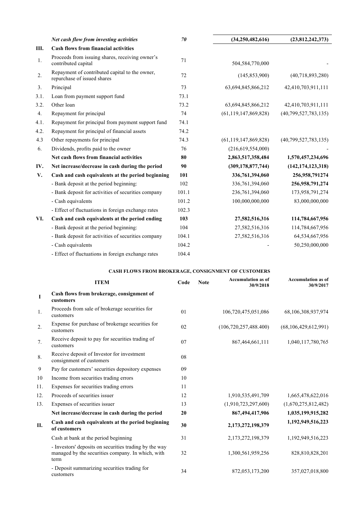|      | Net cash flow from investing activities                                       | 70    | (34,250,482,616)         | (23,812,242,373)     |
|------|-------------------------------------------------------------------------------|-------|--------------------------|----------------------|
| Ш.   | <b>Cash flows from financial activities</b>                                   |       |                          |                      |
| 1.   | Proceeds from issuing shares, receiving owner's<br>contributed capital        | 71    | 504,584,770,000          |                      |
| 2.   | Repayment of contributed capital to the owner,<br>repurchase of issued shares | 72    | (145, 853, 900)          | (40,718,893,280)     |
| 3.   | Principal                                                                     | 73    | 63,694,845,866,212       | 42,410,703,911,111   |
| 3.1. | Loan from payment support fund                                                | 73.1  |                          |                      |
| 3.2. | Other loan                                                                    | 73.2  | 63,694,845,866,212       | 42,410,703,911,111   |
| 4.   | Repayment for principal                                                       | 74    | (61, 119, 147, 869, 828) | (40,799,527,783,135) |
| 4.1. | Repayment for principal from payment support fund                             | 74.1  |                          |                      |
| 4.2. | Repayment for principal of financial assets                                   | 74.2  |                          |                      |
| 4.3  | Other repayments for principal                                                | 74.3  | (61, 119, 147, 869, 828) | (40,799,527,783,135) |
| 6.   | Dividends, profits paid to the owner                                          | 76    | (216,619,554,000)        |                      |
|      | Net cash flows from financial activities                                      | 80    | 2,863,517,358,484        | 1,570,457,234,696    |
| IV.  | Net increase/decrease in cash during the period                               | 90    | (309, 178, 877, 744)     | (142, 174, 123, 318) |
| V.   | Cash and cash equivalents at the period beginning                             | 101   | 336,761,394,060          | 256,958,791274       |
|      | - Bank deposit at the period beginning:                                       | 102   | 336,761,394,060          | 256,958,791,274      |
|      | - Bank deposit for activities of securities company                           | 101.1 | 236,761,394,060          | 173,958,791,274      |
|      | - Cash equivalents                                                            | 101.2 | 100,000,000,000          | 83,000,000,000       |
|      | - Effect of fluctuations in foreign exchange rates                            | 102.3 |                          |                      |
| VI.  | Cash and cash equivalents at the period ending                                | 103   | 27,582,516,316           | 114,784,667,956      |
|      | - Bank deposit at the period beginning:                                       | 104   | 27,582,516,316           | 114,784,667,956      |
|      | - Bank deposit for activities of securities company                           | 104.1 | 27,582,516,316           | 64,534,667,956       |
|      | - Cash equivalents                                                            | 104.2 |                          | 50,250,000,000       |
|      | - Effect of fluctuations in foreign exchange rates                            | 104.4 |                          |                      |

| <b>CASH FLOWS FROM BROKERAGE, CONSIGNMENT OF CUSTOMERS</b> |  |
|------------------------------------------------------------|--|
|------------------------------------------------------------|--|

|             | <b>ITEM</b>                                                                                                         | Code | <b>Note</b> | <b>Accumulation as of</b><br>30/9/2018 | <b>Accumulation as of</b><br>30/9/2017 |
|-------------|---------------------------------------------------------------------------------------------------------------------|------|-------------|----------------------------------------|----------------------------------------|
| $\mathbf I$ | Cash flows from brokerage, consignment of<br>customers                                                              |      |             |                                        |                                        |
| 1.          | Proceeds from sale of brokerage securities for<br>customers                                                         | 01   |             | 106,720,475,051,086                    | 68,106,308,937,974                     |
| 2.          | Expense for purchase of brokerage securities for<br>customers                                                       | 02   |             | (106, 720, 257, 488.400)               | (68, 106, 429, 612, 991)               |
| 7.          | Receive deposit to pay for securities trading of<br>customers                                                       | 07   |             | 867, 464, 661, 111                     | 1,040,117,780,765                      |
| 8.          | Receive deposit of Investor for investment<br>consignment of customers                                              | 08   |             |                                        |                                        |
| 9           | Pay for customers' securities depository expenses                                                                   | 09   |             |                                        |                                        |
| 10          | Income from securities trading errors                                                                               | 10   |             |                                        |                                        |
| 11.         | Expenses for securities trading errors                                                                              | 11   |             |                                        |                                        |
| 12.         | Proceeds of securities issuer                                                                                       | 12   |             | 1,910,535,491,709                      | 1,665,478,622,016                      |
| 13.         | Expenses of securities issuer                                                                                       | 13   |             | (1,910,723,297,600)                    | (1,670,275,812,482)                    |
|             | Net increase/decrease in cash during the period                                                                     | 20   |             | 867,494,417,906                        | 1,035,199,915,282                      |
| П.          | Cash and cash equivalents at the period beginning<br>of customers                                                   | 30   |             | 2,173,272,198,379                      | 1,192,949,516,223                      |
|             | Cash at bank at the period beginning                                                                                | 31   |             | 2,173,272,198,379                      | 1,192,949,516,223                      |
|             | - Investors' deposits on securities trading by the way<br>managed by the securities company. In which, with<br>term | 32   |             | 1,300,561,959,256                      | 828,810,828,201                        |
|             | - Deposit summarizing securities trading for<br>customers                                                           | 34   |             | 872,053,173,200                        | 357,027,018,800                        |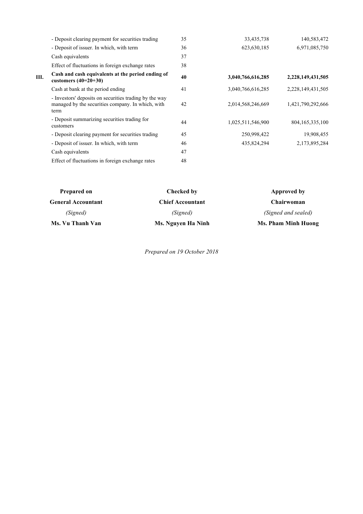|    | - Deposit clearing payment for securities trading                                                                   | 35 | 33,435,738        | 140,583,472        |
|----|---------------------------------------------------------------------------------------------------------------------|----|-------------------|--------------------|
|    | - Deposit of issuer. In which, with term                                                                            | 36 | 623, 630, 185     | 6,971,085,750      |
|    | Cash equivalents                                                                                                    | 37 |                   |                    |
|    | Effect of fluctuations in foreign exchange rates                                                                    | 38 |                   |                    |
| Ш. | Cash and cash equivalents at the period ending of<br>customers $(40=20+30)$                                         | 40 | 3,040,766,616,285 | 2,228,149,431,505  |
|    | Cash at bank at the period ending                                                                                   | 41 | 3,040,766,616,285 | 2,228,149,431,505  |
|    | - Investors' deposits on securities trading by the way<br>managed by the securities company. In which, with<br>term | 42 | 2,014,568,246,669 | 1,421,790,292,666  |
|    | - Deposit summarizing securities trading for<br>customers                                                           | 44 | 1,025,511,546,900 | 804, 165, 335, 100 |
|    | - Deposit clearing payment for securities trading                                                                   | 45 | 250,998,422       | 19,908,455         |
|    | - Deposit of issuer. In which, with term                                                                            | 46 | 435,824,294       | 2,173,895,284      |
|    | Cash equivalents                                                                                                    | 47 |                   |                    |
|    | Effect of fluctuations in foreign exchange rates                                                                    | 48 |                   |                    |
|    |                                                                                                                     |    |                   |                    |

| Prepared on               | Checked by              | Approved by         |
|---------------------------|-------------------------|---------------------|
| <b>General Accountant</b> | <b>Chief Accountant</b> | <b>Chairwoman</b>   |
| (Signed)                  | (Signed)                | (Signed and sealed) |
| Ms. Vu Thanh Van          | Ms. Nguyen Ha Ninh      | Ms. Pham Minh Huong |

*Prepared on 19 October 2018*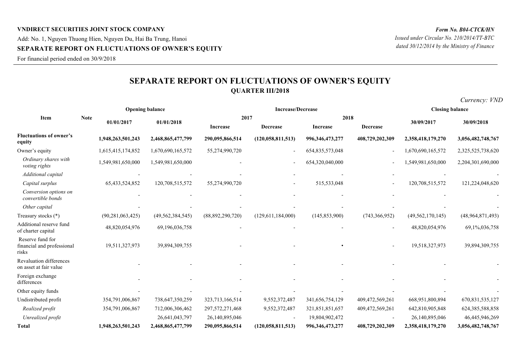## **VNDIRECT SECURITIES JOINT STOCK COMPANY** Add: No. 1, Nguyen Thuong Hien, Nguyen Du, Hai Ba Trung, Hanoi **SEPARATE REPORT ON FLUCTUATIONS OF OWNER'S EQUITY**

For financial period ended on 30/9/2018

# **SEPARATE REPORT ON FLUCTUATIONS OF OWNER'S EQUITY QUARTER III/2018**

|                                                         | <b>Opening balance</b>    |                     |                     |                  | <b>Increase/Decrease</b> | <b>Closing balance</b> |                 |                     |                    |  |
|---------------------------------------------------------|---------------------------|---------------------|---------------------|------------------|--------------------------|------------------------|-----------------|---------------------|--------------------|--|
| Item                                                    | <b>Note</b><br>01/01/2017 |                     | 01/01/2018          |                  | 2017                     |                        | 2018            | 30/09/2017          | 30/09/2018         |  |
|                                                         |                           |                     |                     | Increase         | <b>Decrease</b>          | Increase               | <b>Decrease</b> |                     |                    |  |
| <b>Fluctuations of owner's</b><br>equity                |                           | 1,948,263,501,243   | 2,468,865,477,799   | 290,095,866,514  | (120, 058, 811, 513)     | 996, 346, 473, 277     | 408,729,202,309 | 2,358,418,179,270   | 3,056,482,748,767  |  |
| Owner's equity                                          |                           | 1,615,415,174,852   | 1,670,690,165,572   | 55,274,990,720   |                          | 654, 835, 573, 048     |                 | 1,670,690,165,572   | 2,325,525,738,620  |  |
| Ordinary shares with<br>voting rights                   |                           | 1,549,981,650,000   | 1,549,981,650,000   |                  |                          | 654,320,040,000        |                 | 1,549,981,650,000   | 2,204,301,690,000  |  |
| Additional capital                                      |                           |                     |                     |                  |                          |                        |                 |                     |                    |  |
| Capital surplus                                         |                           | 65, 433, 524, 852   | 120,708,515,572     | 55,274,990,720   |                          | 515,533,048            |                 | 120,708,515,572     | 121,224,048,620    |  |
| Conversion options on<br>convertible bonds              |                           |                     |                     |                  |                          |                        |                 |                     |                    |  |
| Other capital                                           |                           |                     |                     |                  |                          |                        |                 |                     |                    |  |
| Treasury stocks (*)                                     |                           | (90, 281, 063, 425) | (49, 562, 384, 545) | (88,892,290,720) | (129,611,184,000)        | (145, 853, 900)        | (743, 366, 952) | (49, 562, 170, 145) | (48,964,871,493)   |  |
| Additional reserve fund<br>of charter capital           |                           | 48,820,054,976      | 69,196,036,758      |                  |                          |                        |                 | 48,820,054,976      | 69,1%,036,758      |  |
| Reserve fund for<br>financial and professional<br>risks |                           | 19,511,327,973      | 39,894,309,755      |                  |                          |                        |                 | 19,518,327,973      | 39,894,309,755     |  |
| Revaluation differences<br>on asset at fair value       |                           |                     |                     |                  |                          |                        |                 |                     |                    |  |
| Foreign exchange<br>differences                         |                           |                     |                     |                  |                          |                        |                 |                     |                    |  |
| Other equity funds                                      |                           |                     |                     |                  |                          |                        |                 |                     |                    |  |
| Undistributed profit                                    |                           | 354,791,006,867     | 738,647,350,259     | 323,713,166,514  | 9,552,372,487            | 341,656,754,129        | 409,472,569,261 | 668,951,800,894     | 670, 831, 535, 127 |  |
| Realized profit                                         |                           | 354,791,006,867     | 712,006,306,462     | 297,572,271,468  | 9,552,372,487            | 321,851,851,657        | 409,472,569,261 | 642,810,905,848     | 624, 385, 588, 858 |  |
| Unrealized profit                                       |                           |                     | 26,641,043,797      | 26,140,895,046   |                          | 19,804,902,472         |                 | 26,140,895,046      | 46,445,946,269     |  |
| Total                                                   |                           | 1.948.263.501.243   | 2,468,865,477,799   | 290.095.866.514  | (120.058.811.513)        | 996.346.473.277        | 408,729,202,309 | 2,358,418,179,270   | 3,056,482,748,767  |  |

*Currency: VND*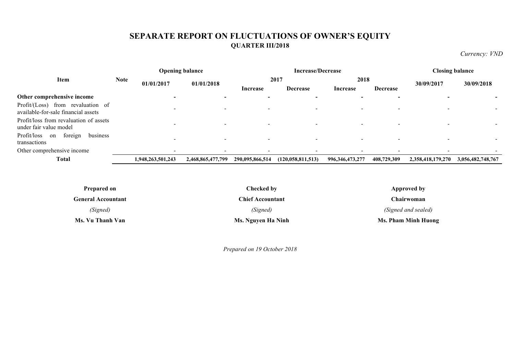# **SEPARATE REPORT ON FLUCTUATIONS OF OWNER'S EQUITY QUARTER III/2018**

*Currency: VND*

| <b>Opening balance</b>                                                   |             | <b>Increase/Decrease</b> |                          |                 |                      | <b>Closing balance</b> |                 |                          |                   |
|--------------------------------------------------------------------------|-------------|--------------------------|--------------------------|-----------------|----------------------|------------------------|-----------------|--------------------------|-------------------|
| Item                                                                     | <b>Note</b> | 01/01/2017               | 01/01/2018               |                 | 2017                 | 2018                   |                 | 30/09/2017               | 30/09/2018        |
|                                                                          |             |                          |                          | Increase        | <b>Decrease</b>      | Increase               | <b>Decrease</b> |                          |                   |
| Other comprehensive income                                               |             |                          |                          |                 |                      |                        |                 |                          |                   |
| Profit/(Loss) from revaluation of<br>available-for-sale financial assets |             | -                        |                          |                 |                      |                        |                 |                          |                   |
| Profit/loss from revaluation of assets<br>under fair value model         |             | $\overline{\phantom{0}}$ | $\overline{\phantom{0}}$ |                 |                      |                        |                 | $\overline{\phantom{0}}$ |                   |
| foreign<br>Profit/loss<br>business<br>on<br>transactions                 |             | $\,$                     | $\overline{\phantom{0}}$ |                 |                      |                        |                 |                          |                   |
| Other comprehensive income                                               |             | $\,$                     |                          |                 |                      |                        |                 |                          |                   |
| <b>Total</b>                                                             |             | 1,948,263,501,243        | 2,468,865,477,799        | 290,095,866,514 | (120, 058, 811, 513) | 996, 346, 473, 277     | 408,729,309     | 2,358,418,179,270        | 3,056,482,748,767 |

| <b>Prepared on</b>        | Checked by              | Approved by         |
|---------------------------|-------------------------|---------------------|
| <b>General Accountant</b> | <b>Chief Accountant</b> | Chairwoman          |
| (Signed)                  | (Signed)                | (Signed and sealed) |
| Ms. Vu Thanh Van          | Ms. Nguyen Ha Ninh      | Ms. Pham Minh Huong |

*Prepared on 19 October 2018*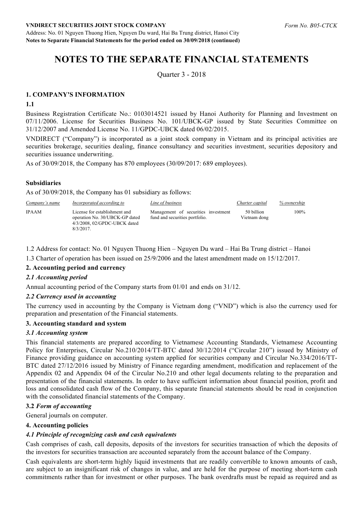Address: No. 01 Nguyen Thuong Hien, Nguyen Du ward, Hai Ba Trung district, Hanoi City **Notes to Separate Financial Statements for the period ended on 30/09/2018 (continued)**

# **NOTES TO THE SEPARATE FINANCIAL STATEMENTS**

Quarter 3 - 2018

## **1. COMPANY'S INFORMATION**

#### **1.1**

Business Registration Certificate No.: 0103014521 issued by Hanoi Authority for Planning and Investment on 07/11/2006. License for Securities Business No. 101/UBCK-GP issued by State Securities Committee on 31/12/2007 and Amended License No. 11/GPDC-UBCK dated 06/02/2015.

VNDIRECT ("Company") is incorporated as a joint stock company in Vietnam and its principal activities are securities brokerage, securities dealing, finance consultancy and securities investment, securities depository and securities issuance underwriting.

As of 30/09/2018, the Company has 870 employees (30/09/2017: 689 employees).

## **Subsidiaries**

As of 30/09/2018, the Company has 01 subsidiary as follows:

| Company's name | Incorporated according to                                                                                            | Line of business                                                      | Charter capital            | % ownership |
|----------------|----------------------------------------------------------------------------------------------------------------------|-----------------------------------------------------------------------|----------------------------|-------------|
| <b>IPAAM</b>   | License for establishment and<br>operation No. 30/UBCK-GP dated<br>$4/3/2008$ , $02/GPDC-UBCK$ dated<br>$8/3/2017$ . | Management of securities investment<br>fund and securities portfolio. | 50 billion<br>Vietnam dong | 100%        |

1.2 Address for contact: No. 01 Nguyen Thuong Hien – Nguyen Du ward – Hai Ba Trung district – Hanoi

1.3 Charter of operation has been issued on 25/9/2006 and the latest amendment made on 15/12/2017.

## **2. Accounting period and currency**

#### *2.1 Accounting period*

Annual accounting period of the Company starts from 01/01 and ends on 31/12.

## *2.2 Currency used in accounting*

The currency used in accounting by the Company is Vietnam dong ("VND") which is also the currency used for preparation and presentation of the Financial statements.

## **3. Accounting standard and system**

## *3.1 Accounting system*

This financial statements are prepared according to Vietnamese Accounting Standards, Vietnamese Accounting Policy for Enterprises, Circular No.210/2014/TT-BTC dated 30/12/2014 ("Circular 210") issued by Ministry of Finance providing guidance on accounting system applied for securities company and Circular No.334/2016/TT-BTC dated 27/12/2016 issued by Ministry of Finance regarding amendment, modification and replacement of the Appendix 02 and Appendix 04 of the Circular No.210 and other legal documents relating to the preparation and presentation of the financial statements. In order to have sufficient information about financial position, profit and loss and consolidated cash flow of the Company, this separate financial statements should be read in conjunction with the consolidated financial statements of the Company.

#### **3.2** *Form of accounting*

General journals on computer.

#### **4. Accounting policies**

#### *4.1 Principle of recognizing cash and cash equivalents*

Cash comprises of cash, call deposits, deposits of the investors for securities transaction of which the deposits of the investors for securities transaction are accounted separately from the account balance of the Company.

Cash equivalents are short-term highly liquid investments that are readily convertible to known amounts of cash, are subject to an insignificant risk of changes in value, and are held for the purpose of meeting short-term cash commitments rather than for investment or other purposes. The bank overdrafts must be repaid as required and as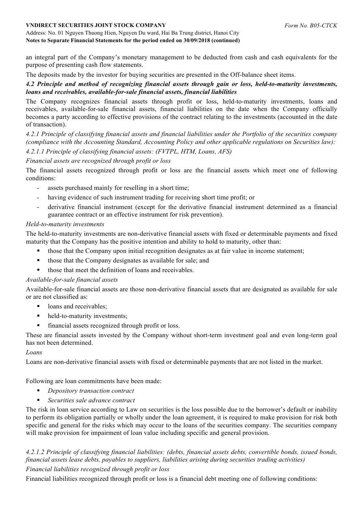#### Address: No. 01 Nguyen Thuong Hien, Nguyen Du ward, Hai Ba Trung district, Hanoi City **Notes to Separate Financial Statements for the period ended on 30/09/2018 (continued)**

an integral part of the Company's monetary management to be deducted from cash and cash equivalents for the purpose of presenting cash flow statements.

The deposits made by the investor for buying securities are presented in the Off-balance sheet items.

## *4.2 Principle and method of recognizing financial assets through gain or loss, held-to-maturity investments, loans and receivables, available-for-sale financial assets, financial liabilities*

The Company recognizes financial assets through profit or loss, held-to-maturity investments, loans and receivables, available-for-sale financial assets, financial liabilities on the date when the Company officially becomes a party according to effective provisions of the contract relating to the investments (accounted in the date of transaction).

*4.2.1 Principle of classifying financial assets and financial liabilities under the Portfolio of the securities company (compliance with the Accounting Standard, Accounting Policy and other applicable regulations on Securities law): 4.2.1.1 Principle of classifying financial assets: (FVTPL, HTM, Loans, AFS)*

## *Financial assets are recognized through profit or loss*

The financial assets recognized through profit or loss are the financial assets which meet one of following conditions:

- assets purchased mainly for reselling in a short time;
- having evidence of such instrument trading for receiving short time profit; or
- derivative financial instrument (except for the derivative financial instrument determined as a financial guarantee contract or an effective instrument for risk prevention).

## *Held-to-maturity investments*

The held-to-maturity investments are non-derivative financial assets with fixed or determinable payments and fixed maturity that the Company has the positive intention and ability to hold to maturity, other than:

- those that the Company upon initial recognition designates as at fair value in income statement;
- those that the Company designates as available for sale; and
- those that meet the definition of loans and receivables.

## *Available-for-sale financial assets*

Available-for-sale financial assets are those non-derivative financial assets that are designated as available for sale or are not classified as:

- loans and receivables:
- held-to-maturity investments;
- financial assets recognized through profit or loss.

These are financial assets invested by the Company without short-term investment goal and even long-term goal has not been determined.

## *Loans*

Loans are non-derivative financial assets with fixed or determinable payments that are not listed in the market.

Following are loan commitments have been made:

- § *Depository transaction contract*
- § *Securities sale advance contract*

The risk in loan service according to Law on securities is the loss possible due to the borrower's default or inability to perform its obligation partially or wholly under the loan agreement, it is required to make provision for risk both specific and general for the risks which may occur to the loans of the securities company. The securities company will make provision for impairment of loan value including specific and general provision.

# *4.2.1.2 Principle of classifying financial liabilities: (debts, financial assets debts, convertible bonds, issued bonds, financial assets lease debts, payables to suppliers, liabilities arising during securities trading activities)*

## *Financial liabilities recognized through profit or loss*

Financial liabilities recognized through profit or loss is a financial debt meeting one of following conditions: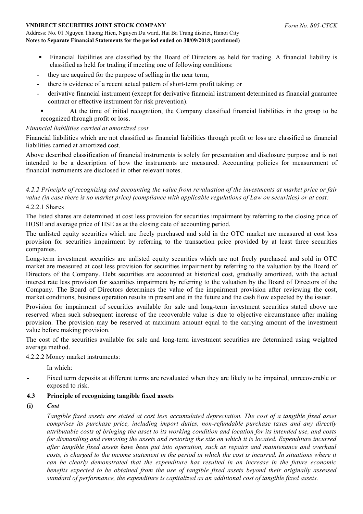#### Address: No. 01 Nguyen Thuong Hien, Nguyen Du ward, Hai Ba Trung district, Hanoi City **Notes to Separate Financial Statements for the period ended on 30/09/2018 (continued)**

- § Financial liabilities are classified by the Board of Directors as held for trading. A financial liability is classified as held for trading if meeting one of following conditions:
- they are acquired for the purpose of selling in the near term;
- there is evidence of a recent actual pattern of short-term profit taking; or
- derivative financial instrument (except for derivative financial instrument determined as financial guarantee contract or effective instrument for risk prevention).
- § At the time of initial recognition, the Company classified financial liabilities in the group to be recognized through profit or loss.

## *Financial liabilities carried at amortized cost*

Financial liabilities which are not classified as financial liabilities through profit or loss are classified as financial liabilities carried at amortized cost.

Above described classification of financial instruments is solely for presentation and disclosure purpose and is not intended to be a description of how the instruments are measured. Accounting policies for measurement of financial instruments are disclosed in other relevant notes.

*4.2.2 Principle of recognizing and accounting the value from revaluation of the investments at market price or fair value (in case there is no market price) (compliance with applicable regulations of Law on securities) or at cost:*

## 4.2.2.1 Shares

The listed shares are determined at cost less provision for securities impairment by referring to the closing price of HOSE and average price of HSE as at the closing date of accounting period.

The unlisted equity securities which are freely purchased and sold in the OTC market are measured at cost less provision for securities impairment by referring to the transaction price provided by at least three securities companies.

Long-term investment securities are unlisted equity securities which are not freely purchased and sold in OTC market are measured at cost less provision for securities impairment by referring to the valuation by the Board of Directors of the Company. Debt securities are accounted at historical cost, gradually amortized, with the actual interest rate less provision for securities impairment by referring to the valuation by the Board of Directors of the Company. The Board of Directors determines the value of the impairment provision after reviewing the cost, market conditions, business operation results in present and in the future and the cash flow expected by the issuer.

Provision for impairment of securities available for sale and long-term investment securities stated above are reserved when such subsequent increase of the recoverable value is due to objective circumstance after making provision. The provision may be reserved at maximum amount equal to the carrying amount of the investment value before making provision.

The cost of the securities available for sale and long-term investment securities are determined using weighted average method.

#### 4.2.2.2 Money market instruments:

In which:

**-** Fixed term deposits at different terms are revaluated when they are likely to be impaired, unrecoverable or exposed to risk.

## **4.3 Principle of recognizing tangible fixed assets**

**(i)** *Cost* 

*Tangible fixed assets are stated at cost less accumulated depreciation. The cost of a tangible fixed asset comprises its purchase price, including import duties, non-refundable purchase taxes and any directly attributable costs of bringing the asset to its working condition and location for its intended use, and costs for dismantling and removing the assets and restoring the site on which it is located. Expenditure incurred after tangible fixed assets have been put into operation, such as repairs and maintenance and overhaul costs, is charged to the income statement in the period in which the cost is incurred. In situations where it can be clearly demonstrated that the expenditure has resulted in an increase in the future economic benefits expected to be obtained from the use of tangible fixed assets beyond their originally assessed standard of performance, the expenditure is capitalized as an additional cost of tangible fixed assets.*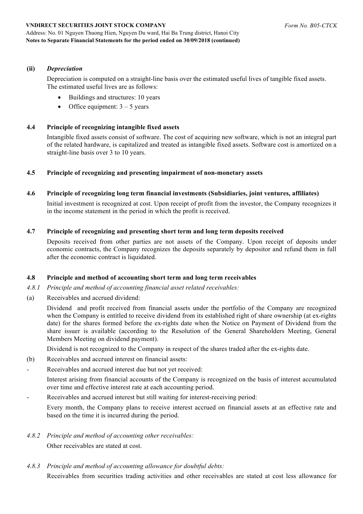Address: No. 01 Nguyen Thuong Hien, Nguyen Du ward, Hai Ba Trung district, Hanoi City **Notes to Separate Financial Statements for the period ended on 30/09/2018 (continued)**

#### **(ii)** *Depreciation*

Depreciation is computed on a straight-line basis over the estimated useful lives of tangible fixed assets. The estimated useful lives are as follows:

- Buildings and structures: 10 years
- Office equipment:  $3 5$  years

#### **4.4 Principle of recognizing intangible fixed assets**

Intangible fixed assets consist of software. The cost of acquiring new software, which is not an integral part of the related hardware, is capitalized and treated as intangible fixed assets. Software cost is amortized on a straight-line basis over 3 to 10 years.

## **4.5 Principle of recognizing and presenting impairment of non-monetary assets**

#### **4.6 Principle of recognizing long term financial investments (Subsidiaries, joint ventures, affiliates)**

Initial investment is recognized at cost. Upon receipt of profit from the investor, the Company recognizes it in the income statement in the period in which the profit is received.

#### **4.7 Principle of recognizing and presenting short term and long term deposits received**

Deposits received from other parties are not assets of the Company. Upon receipt of deposits under economic contracts, the Company recognizes the deposits separately by depositor and refund them in full after the economic contract is liquidated.

#### **4.8 Principle and method of accounting short term and long term receivables**

- *4.8.1 Principle and method of accounting financial asset related receivables:*
- (a) Receivables and accrued dividend:

Dividend and profit received from financial assets under the portfolio of the Company are recognized when the Company is entitled to receive dividend from its established right of share ownership (at ex-rights date) for the shares formed before the ex-rights date when the Notice on Payment of Dividend from the share issuer is available (according to the Resolution of the General Shareholders Meeting, General Members Meeting on dividend payment).

Dividend is not recognized to the Company in respect of the shares traded after the ex-rights date.

- (b) Receivables and accrued interest on financial assets:
- Receivables and accrued interest due but not yet received:

Interest arising from financial accounts of the Company is recognized on the basis of interest accumulated over time and effective interest rate at each accounting period.

Receivables and accrued interest but still waiting for interest-receiving period:

Every month, the Company plans to receive interest accrued on financial assets at an effective rate and based on the time it is incurred during the period.

- *4.8.2 Principle and method of accounting other receivables:* Other receivables are stated at cost.
- *4.8.3 Principle and method of accounting allowance for doubtful debts:*

Receivables from securities trading activities and other receivables are stated at cost less allowance for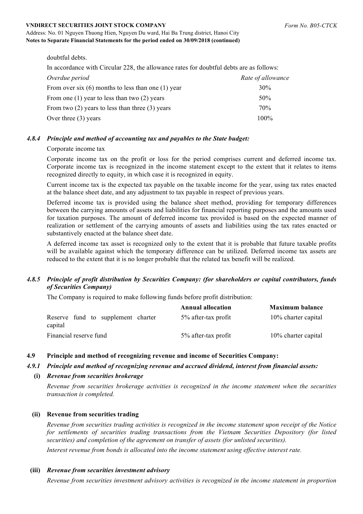#### *Form No. B05-CTCK*

#### **VNDIRECT SECURITIES JOINT STOCK COMPANY**

#### Address: No. 01 Nguyen Thuong Hien, Nguyen Du ward, Hai Ba Trung district, Hanoi City **Notes to Separate Financial Statements for the period ended on 30/09/2018 (continued)**

doubtful debts.

In accordance with Circular 228, the allowance rates for doubtful debts are as follows:

| Overdue period                                         | Rate of allowance |
|--------------------------------------------------------|-------------------|
| From over six $(6)$ months to less than one $(1)$ year | 30%               |
| From one $(1)$ year to less than two $(2)$ years       | $50\%$            |
| From two $(2)$ years to less than three $(3)$ years    | 70%               |
| Over three $(3)$ years                                 | $100\%$           |

#### *4.8.4 Principle and method of accounting tax and payables to the State budget:*

#### Corporate income tax

Corporate income tax on the profit or loss for the period comprises current and deferred income tax. Corporate income tax is recognized in the income statement except to the extent that it relates to items recognized directly to equity, in which case it is recognized in equity.

Current income tax is the expected tax payable on the taxable income for the year, using tax rates enacted at the balance sheet date, and any adjustment to tax payable in respect of previous years.

Deferred income tax is provided using the balance sheet method, providing for temporary differences between the carrying amounts of assets and liabilities for financial reporting purposes and the amounts used for taxation purposes. The amount of deferred income tax provided is based on the expected manner of realization or settlement of the carrying amounts of assets and liabilities using the tax rates enacted or substantively enacted at the balance sheet date.

A deferred income tax asset is recognized only to the extent that it is probable that future taxable profits will be available against which the temporary difference can be utilized. Deferred income tax assets are reduced to the extent that it is no longer probable that the related tax benefit will be realized.

## *4.8.5 Principle of profit distribution by Securities Company: (for shareholders or capital contributors, funds of Securities Company)*

The Company is required to make following funds before profit distribution:

|                                               | <b>Annual allocation</b> | <b>Maximum balance</b> |
|-----------------------------------------------|--------------------------|------------------------|
| Reserve fund to supplement charter<br>capital | 5% after-tax profit      | 10% charter capital    |
| Financial reserve fund                        | 5% after-tax profit      | 10% charter capital    |

#### **4.9 Principle and method of recognizing revenue and income of Securities Company:**

#### *4.9.1 Principle and method of recognizing revenue and accrued dividend, interest from financial assets:*

#### **(i)** *Revenue from securities brokerage*

*Revenue from securities brokerage activities is recognized in the income statement when the securities transaction is completed.*

## **(ii) Revenue from securities trading**

*Revenue from securities trading activities is recognized in the income statement upon receipt of the Notice for settlements of securities trading transactions from the Vietnam Securities Depository (for listed securities) and completion of the agreement on transfer of assets (for unlisted securities).*

*Interest revenue from bonds is allocated into the income statement using effective interest rate.*

## **(iii)** *Revenue from securities investment advisory*

*Revenue from securities investment advisory activities is recognized in the income statement in proportion*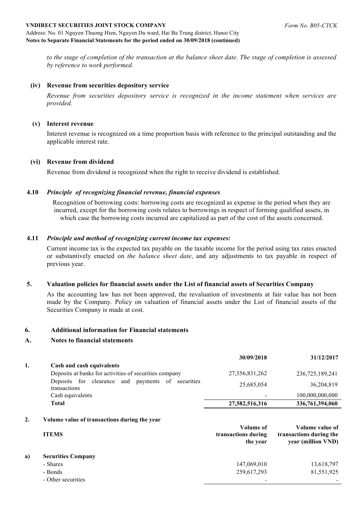#### Address: No. 01 Nguyen Thuong Hien, Nguyen Du ward, Hai Ba Trung district, Hanoi City **Notes to Separate Financial Statements for the period ended on 30/09/2018 (continued)**

*to the stage of completion of the transaction at the balance sheet date. The stage of completion is assessed by reference to work performed.*

#### **(iv) Revenue from securities depository service**

*Revenue from securities depository service is recognized in the income statement when services are provided.* 

#### **(v) Interest revenue**

Interest revenue is recognized on a time proportion basis with reference to the principal outstanding and the applicable interest rate.

#### **(vi) Revenue from dividend**

Revenue from dividend is recognized when the right to receive dividend is established.

#### **4.10** *Principle of recognizing financial revenue, financial expenses*

Recognition of borrowing costs: borrowing costs are recognized as expense in the period when they are incurred, except for the borrowing costs relates to borrowings in respect of forming qualified assets, in which case the borrowing costs incurred are capitalized as part of the cost of the assets concerned.

#### **4.11** *Principle and method of recognizing current income tax expenses:*

Current income tax is the expected tax payable on the taxable income for the period using tax rates enacted or substantively enacted on *the balance sheet date*, and any adjustments to tax payable in respect of previous year.

#### **5. Valuation policies for financial assets under the List of financial assets of Securities Company**

As the accounting law has not been approved, the revaluation of investments at fair value has not been made by the Company. Policy on valuation of financial assets under the List of financial assets of the Securities Company is made at cost.

#### **6. Additional information for Financial statements**

#### **A. Notes to financial statements**

|    |                                                                   | 30/09/2018     | 31/12/2017      |
|----|-------------------------------------------------------------------|----------------|-----------------|
| 1. | Cash and cash equivalents                                         |                |                 |
|    | Deposits at banks for activities of securities company            | 27,556,831,262 | 236,725,189,241 |
|    | Deposits for clearance and payments of securities<br>transactions | 25,685,054     | 36,204,819      |
|    | Cash equivalents                                                  |                | 100,000,000,000 |
|    | Total                                                             | 27,582,516,316 | 336,761,394,060 |

#### **2. Volume value of transactions during the year**

|    | <b>ITEMS</b>              | Volume of<br>transactions during<br>the year | Volume value of<br>transactions during the<br>year (million VND) |
|----|---------------------------|----------------------------------------------|------------------------------------------------------------------|
| a) | <b>Securities Company</b> |                                              |                                                                  |
|    | - Shares                  | 147,069,010                                  | 13,618,797                                                       |
|    | - Bonds                   | 259,617,293                                  | 81,551,925                                                       |
|    | - Other securities        |                                              |                                                                  |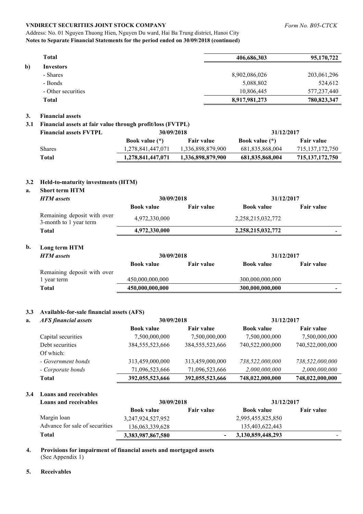#### Address: No. 01 Nguyen Thuong Hien, Nguyen Du ward, Hai Ba Trung district, Hanoi City **Notes to Separate Financial Statements for the period ended on 30/09/2018 (continued)**

| <b>Total</b>           | 406,686,303   | 95,170,722  |
|------------------------|---------------|-------------|
| b)<br><b>Investors</b> |               |             |
| - Shares               | 8,902,086,026 | 203,061,296 |
| - Bonds                | 5,088,802     | 524,612     |
| - Other securities     | 10,806,445    | 577,237,440 |
| <b>Total</b>           | 8,917,981,273 | 780,823,347 |

#### **3. Financial assets**

#### **3.1 Financial assets at fair value through profit/loss (FVTPL)**

| <b>Financial assets FVTPL</b> | 30/09/2018            |                   | 31/12/2017            |                    |
|-------------------------------|-----------------------|-------------------|-----------------------|--------------------|
|                               | <b>Book value</b> (*) | <b>Fair value</b> | <b>Book value</b> (*) | <b>Fair value</b>  |
| <b>Shares</b>                 | 1,278,841,447,071     | 1,336,898,879,900 | 681,835,868,004       | 715, 137, 172, 750 |
| Total                         | 1,278,841,447,071     | 1,336,898,879,900 | 681,835,868,004       | 715, 137, 172, 750 |

#### **3.2 Held-to-maturity investments (HTM)**

#### **a. Short term HTM**

| <b>HTM</b> assets                                     | 30/09/2018        |                   | 31/12/2017        |                   |
|-------------------------------------------------------|-------------------|-------------------|-------------------|-------------------|
|                                                       | <b>Book value</b> | <b>Fair value</b> | <b>Book value</b> | <b>Fair value</b> |
| Remaining deposit with over<br>3-month to 1 year term | 4,972,330,000     |                   | 2,258,215,032,772 |                   |
| Total                                                 | 4,972,330,000     |                   | 2,258,215,032,772 |                   |

## **b. Long term HTM**

| <b>HTM</b> assets           | 30/09/2018        |                   | 31/12/2017        |                   |
|-----------------------------|-------------------|-------------------|-------------------|-------------------|
|                             | <b>Book value</b> | <b>Fair value</b> | <b>Book value</b> | <b>Fair value</b> |
| Remaining deposit with over |                   |                   |                   |                   |
| vear term                   | 450,000,000,000   |                   | 300,000,000,000   |                   |
| Total                       | 450,000,000,000   |                   | 300,000,000,000   | $\blacksquare$    |

#### **3.3 Available-for-sale financial assets (AFS)**

| a. | <b>AFS</b> financial assets | 30/09/2018         |                    | 31/12/2017        |                   |
|----|-----------------------------|--------------------|--------------------|-------------------|-------------------|
|    |                             | <b>Book value</b>  | <b>Fair value</b>  | <b>Book value</b> | <b>Fair value</b> |
|    | Capital securities          | 7,500,000,000      | 7,500,000,000      | 7,500,000,000     | 7,500,000,000     |
|    | Debt securities             | 384, 555, 523, 666 | 384, 555, 523, 666 | 740,522,000,000   | 740,522,000,000   |
|    | Of which:                   |                    |                    |                   |                   |
|    | - Government bonds          | 313,459,000,000    | 313,459,000,000    | 738,522,000,000   | 738,522,000,000   |
|    | - Corporate bonds           | 71,096,523,666     | 71,096,523,666     | 2,000,000,000     | 2,000,000,000     |
|    | <b>Total</b>                | 392,055,523,666    | 392,055,523,666    | 748,022,000,000   | 748,022,000,000   |

#### **3.4 Loans and receivables**

| Loans and receivables          | 30/09/2018            |                   | 31/12/2017        |                   |
|--------------------------------|-----------------------|-------------------|-------------------|-------------------|
|                                | <b>Book value</b>     | <b>Fair value</b> | <b>Book value</b> | <b>Fair value</b> |
| Margin loan                    | 3, 247, 924, 527, 952 |                   | 2,995,455,825,850 |                   |
| Advance for sale of securities | 136,063,339,628       |                   | 135,403,622,443   |                   |
| Total                          | 3,383,987,867,580     |                   | 3,130,859,448,293 |                   |

#### **4. Provisions for impairment of financial assets and mortgaged assets**  (See Appendix 1)

#### **5. Receivables**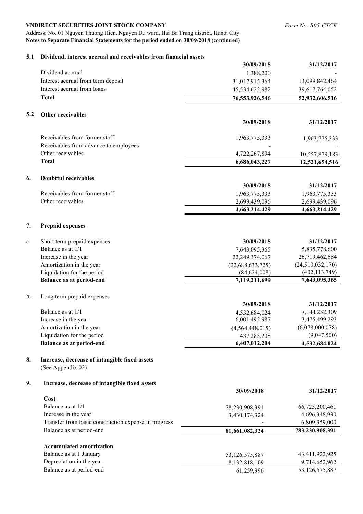Address: No. 01 Nguyen Thuong Hien, Nguyen Du ward, Hai Ba Trung district, Hanoi City **Notes to Separate Financial Statements for the period ended on 30/09/2018 (continued)**

|     |                                                            | 30/09/2018       | 31/12/2017                       |
|-----|------------------------------------------------------------|------------------|----------------------------------|
|     | Dividend accrual                                           | 1,388,200        |                                  |
|     | Interest accrual from term deposit                         | 31,017,915,364   | 13,099,842,464                   |
|     | Interest accrual from loans                                | 45,534,622,982   | 39,617,764,052                   |
|     | <b>Total</b>                                               | 76,553,926,546   | 52,932,606,516                   |
|     |                                                            |                  |                                  |
| 5.2 | Other receivables                                          |                  |                                  |
|     |                                                            | 30/09/2018       | 31/12/2017                       |
|     |                                                            |                  |                                  |
|     | Receivables from former staff                              | 1,963,775,333    | 1,963,775,333                    |
|     | Receivables from advance to employees<br>Other receivables | 4,722,267,894    |                                  |
|     | <b>Total</b>                                               | 6,686,043,227    | 10,557,879,183<br>12,521,654,516 |
|     |                                                            |                  |                                  |
| 6.  | <b>Doubtful receivables</b>                                |                  |                                  |
|     |                                                            | 30/09/2018       | 31/12/2017                       |
|     | Receivables from former staff                              | 1,963,775,333    | 1,963,775,333                    |
|     | Other receivables                                          | 2,699,439,096    | 2,699,439,096                    |
|     |                                                            | 4,663,214,429    | 4,663,214,429                    |
|     |                                                            |                  |                                  |
| 7.  | <b>Prepaid expenses</b>                                    |                  |                                  |
|     |                                                            |                  |                                  |
| a.  | Short term prepaid expenses                                | 30/09/2018       | 31/12/2017                       |
|     | Balance as at 1/1                                          | 7,643,095,365    | 5,835,778,600                    |
|     | Increase in the year                                       | 22,249,374,067   | 26,719,462,684                   |
|     | Amortization in the year                                   | (22,688,633,725) | (24,510,032,170)                 |
|     | Liquidation for the period                                 | (84, 624, 008)   | (402, 113, 749)                  |
|     | <b>Balance as at period-end</b>                            | 7,119,211,699    | 7,643,095,365                    |
| b.  | Long term prepaid expenses                                 |                  |                                  |
|     |                                                            | 30/09/2018       | 31/12/2017                       |
|     | Balance as at 1/1                                          | 4,532,684,024    | 7,144,232,309                    |
|     | Increase in the year                                       | 6,001,492,987    | 3,475,499,293                    |
|     | Amortization in the year                                   | (4,564,448,015)  | (6,078,000,078)                  |
|     | Liquidation for the period                                 | 437,283,208      | (9,047,500)                      |
|     | <b>Balance as at period-end</b>                            | 6,407,012,204    | 4,532,684,024                    |
|     |                                                            |                  |                                  |
| 8.  | Increase, decrease of intangible fixed assets              |                  |                                  |
|     | (See Appendix 02)                                          |                  |                                  |
|     |                                                            |                  |                                  |
| 9.  | Increase, decrease of intangible fixed assets              | 30/09/2018       | 31/12/2017                       |
|     | Cost                                                       |                  |                                  |
|     | Balance as at 1/1                                          | 78,230,908,391   | 66,725,200,461                   |
|     | Increase in the year                                       | 3,430,174,324    | 4,696,348,930                    |
|     | Transfer from basic construction expense in progress       |                  | 6,809,359,000                    |
|     | Balance as at period-end                                   | 81,661,082,324   | 783,230,908,391                  |
|     |                                                            |                  |                                  |
|     | <b>Accumulated amortization</b>                            |                  |                                  |
|     | Balance as at 1 January                                    | 53,126,575,887   | 43,411,922,925                   |
|     | Depreciation in the year                                   | 8,132,818,109    | 9,714,652,962                    |
|     | Balance as at period-end                                   | 61,259,996       | 53,126,575,887                   |
|     |                                                            |                  |                                  |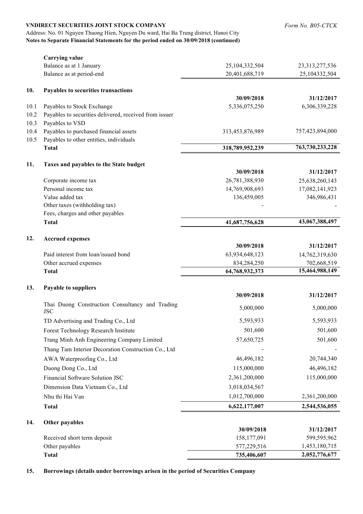|      | <b>VNDIRECT SECURITIES JOINT STOCK COMPANY</b>                                                                                                                                 |                 | Form No. B05-CTCK |
|------|--------------------------------------------------------------------------------------------------------------------------------------------------------------------------------|-----------------|-------------------|
|      | Address: No. 01 Nguyen Thuong Hien, Nguyen Du ward, Hai Ba Trung district, Hanoi City<br>Notes to Separate Financial Statements for the period ended on 30/09/2018 (continued) |                 |                   |
|      |                                                                                                                                                                                |                 |                   |
|      | <b>Carrying value</b>                                                                                                                                                          |                 |                   |
|      | Balance as at 1 January                                                                                                                                                        | 25,104,332,504  | 23,313,277,536    |
|      | Balance as at period-end                                                                                                                                                       | 20,401,688,719  | 25,104332,504     |
| 10.  | Payables to securities transactions                                                                                                                                            |                 |                   |
|      |                                                                                                                                                                                | 30/09/2018      | 31/12/2017        |
| 10.1 | Payables to Stock Exchange                                                                                                                                                     | 5,336,075,250   | 6,306,339,228     |
| 10.2 | Payables to securities delivered, received from issuer                                                                                                                         |                 |                   |
| 10.3 | Payables to VSD                                                                                                                                                                |                 |                   |
| 10.4 | Payables to purchased financial assets                                                                                                                                         | 313,453,876,989 | 757,423,894,000   |
| 10.5 | Payables to other entities, individuals                                                                                                                                        |                 | 763,730,233,228   |
|      | <b>Total</b>                                                                                                                                                                   | 318,789,952,239 |                   |
| 11.  | Taxes and payables to the State budget                                                                                                                                         |                 |                   |
|      |                                                                                                                                                                                | 30/09/2018      | 31/12/2017        |
|      | Corporate income tax                                                                                                                                                           | 26,781,388,930  | 25,638,260,143    |
|      | Personal income tax                                                                                                                                                            | 14,769,908,693  | 17,082,141,923    |
|      | Value added tax                                                                                                                                                                | 136,459,005     | 346,986,431       |
|      | Other taxes (withholding tax)                                                                                                                                                  |                 |                   |
|      | Fees, charges and other payables                                                                                                                                               |                 |                   |
|      | <b>Total</b>                                                                                                                                                                   | 41,687,756,628  | 43,067,388,497    |
| 12.  | <b>Accrued expenses</b>                                                                                                                                                        |                 |                   |
|      |                                                                                                                                                                                | 30/09/2018      | 31/12/2017        |
|      | Paid interest from loan/issued bond                                                                                                                                            | 63,934,648,123  | 14,762,319,630    |
|      | Other accrued expenses                                                                                                                                                         | 834,284,250     | 702,668,519       |
|      | <b>Total</b>                                                                                                                                                                   | 64,768,932,373  | 15,464,988,149    |
| 13.  | Payable to suppliers                                                                                                                                                           |                 |                   |
|      |                                                                                                                                                                                | 30/09/2018      | 31/12/2017        |
|      | Thai Duong Construction Consultancy and Trading<br><b>JSC</b>                                                                                                                  | 5,000,000       | 5,000,000         |
|      | TD Advertising and Trading Co., Ltd                                                                                                                                            | 5,593,933       | 5,593,933         |
|      | Forest Technology Research Institute                                                                                                                                           | 501,600         | 501,600           |
|      | Trang Minh Anh Engineering Company Limited                                                                                                                                     | 57,650,725      | 501,600           |
|      | Thang Tam Interior Decoration Construction Co., Ltd                                                                                                                            |                 |                   |
|      | AWA Waterproofing Co., Ltd                                                                                                                                                     | 46,496,182      | 20,744,340        |
|      | Duong Dong Co., Ltd                                                                                                                                                            | 115,000,000     | 46,496,182        |
|      | Financial Software Solution JSC                                                                                                                                                | 2,361,200,000   | 115,000,000       |
|      | Dimension Data Vietnam Co., Ltd                                                                                                                                                | 3,018,034,567   |                   |
|      |                                                                                                                                                                                |                 |                   |
|      | Nhu thi Hai Van                                                                                                                                                                | 1,012,700,000   | 2,361,200,000     |
|      | <b>Total</b>                                                                                                                                                                   | 6,622,177,007   | 2,544,536,055     |
| 14.  | Other payables                                                                                                                                                                 |                 |                   |
|      |                                                                                                                                                                                | 30/09/2018      | 31/12/2017        |
|      | Received short term deposit                                                                                                                                                    | 158,177,091     | 599,595,962       |
|      | Other payables                                                                                                                                                                 | 577,229,516     | 1,453,180,715     |
|      | <b>Total</b>                                                                                                                                                                   | 735,406,607     | 2,052,776,677     |

**15. Borrowings (details under borrowings arisen in the period of Securities Company**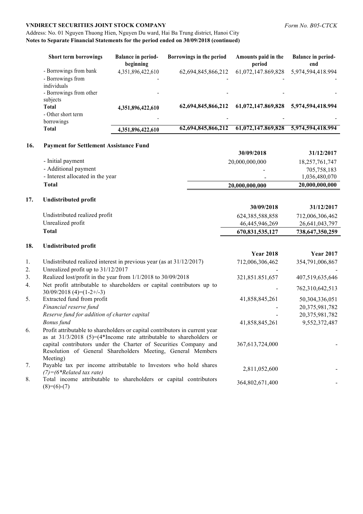## Address: No. 01 Nguyen Thuong Hien, Nguyen Du ward, Hai Ba Trung district, Hanoi City **Notes to Separate Financial Statements for the period ended on 30/09/2018 (continued)**

| <b>Short term borrowings</b>                                                          | <b>Balance in period-</b><br>beginning | Borrowings in the period | Amounts paid in the<br>period | <b>Balance in period-</b><br>end |
|---------------------------------------------------------------------------------------|----------------------------------------|--------------------------|-------------------------------|----------------------------------|
| - Borrowings from bank<br>- Borrowings from<br>individuals<br>- Borrowings from other | 4,351,896,422,610                      | 62,694,845,866,212       | 61,072,147.869,828            | 5,974,594,418.994                |
| subjects<br><b>Total</b><br>- Other short term<br>borrowings                          | 4,351,896,422,610                      | 62,694,845,866,212       | 61,072,147.869,828            | 5,974,594,418.994                |
| <b>Total</b>                                                                          | 4,351,896,422,610                      | 62,694,845,866,212       | 61,072,147,869,828            | 5,974,594,418.994                |

#### **16. Payment for Settlement Assistance Fund**

|                                  | 30/09/2018               | 31/12/2017     |
|----------------------------------|--------------------------|----------------|
| - Initial payment                | 20,000,000,000           | 18,257,761,747 |
| - Additional payment             |                          | 705,758,183    |
| - Interest allocated in the year | $\overline{\phantom{a}}$ | 1,036,480,070  |
| Total                            | 20,000,000,000           | 20,000,000,000 |
|                                  |                          |                |

#### **17. Undistributed profit**

|                               | 30/09/2018      | 31/12/2017      |
|-------------------------------|-----------------|-----------------|
| Undistributed realized profit | 624,385,588,858 | 712,006,306,462 |
| Unrealized profit             | 46,445,946,269  | 26,641,043,797  |
| Total                         | 670,831,535,127 | 738,647,350,259 |
|                               |                 |                 |

#### **18. Undistributed profit**

|    |                                                                                                                                                                                                                         | <b>Year 2018</b>   | <b>Year 2017</b> |
|----|-------------------------------------------------------------------------------------------------------------------------------------------------------------------------------------------------------------------------|--------------------|------------------|
| 1. | Undistributed realized interest in previous year (as at 31/12/2017)                                                                                                                                                     | 712,006,306,462    | 354,791,006,867  |
| 2. | Unrealized profit up to 31/12/2017                                                                                                                                                                                      |                    |                  |
| 3. | Realized lost/profit in the year from 1/1/2018 to 30/09/2018                                                                                                                                                            | 321,851.851,657    | 407,519,635,646  |
| 4. | Net profit attributable to shareholders or capital contributors up to<br>$30/09/2018$ (4)=(1-2+/-3)                                                                                                                     |                    | 762,310,642,513  |
| 5. | Extracted fund from profit                                                                                                                                                                                              | 41,858,845,261     | 50,304,336,051   |
|    | Financial reserve fund                                                                                                                                                                                                  |                    | 20,375,981,782   |
|    | Reserve fund for addition of charter capital                                                                                                                                                                            |                    | 20,375,981,782   |
|    | Bonus fund                                                                                                                                                                                                              | 41,858,845,261     | 9,552,372,487    |
| 6. | Profit attributable to shareholders or capital contributors in current year<br>as at $31/3/2018$ (5)=(4*Income rate attributable to shareholders or<br>capital contributors under the Charter of Securities Company and | 367, 613, 724, 000 |                  |
|    | Resolution of General Shareholders Meeting, General Members<br>Meeting)                                                                                                                                                 |                    |                  |
| 7. | Payable tax per income attributable to Investors who hold shares<br>$(7) = (6 * Related tax rate)$                                                                                                                      | 2,811,052,600      |                  |
| 8. | Total income attributable to shareholders or capital contributors<br>$(8)=(6)-(7)$                                                                                                                                      | 364,802,671,400    |                  |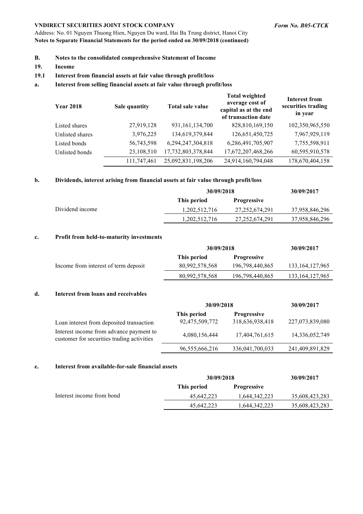Address: No. 01 Nguyen Thuong Hien, Nguyen Du ward, Hai Ba Trung district, Hanoi City **Notes to Separate Financial Statements for the period ended on 30/09/2018 (continued)**

- **B. Notes to the consolidated comprehensive Statement of Income**
- **19. Income**

#### **19.1 Interest from financial assets at fair value through profit/loss**

#### **a. Interest from selling financial assets at fair value through profit/loss**

| <b>Year 2018</b> | Sale quantity | Total sale value   | <b>Total weighted</b><br>average cost of<br>capital as at the end<br>of transaction date | <b>Interest from</b><br>securities trading<br>in year |
|------------------|---------------|--------------------|------------------------------------------------------------------------------------------|-------------------------------------------------------|
| Listed shares    | 27,919,128    | 931, 161, 134, 700 | 828,810,169,150                                                                          | 102,350,965,550                                       |
| Unlisted shares  | 3,976,225     | 134,619,379,844    | 126,651,450,725                                                                          | 7,967,929,119                                         |
| Listed bonds     | 56,743,598    | 6,294,247,304,818  | 6,286,491,705,907                                                                        | 7,755,598,911                                         |
| Unlisted bonds   | 23,108,510    | 17,732,803,378,844 | 17,672,207,468,266                                                                       | 60,595,910,578                                        |
|                  | 111,747,461   | 25,092,831,198,206 | 24,914,160,794,048                                                                       | 178,670,404,158                                       |

#### **b. Dividends, interest arising from financial assets at fair value through profit/loss**

|                 | 30/09/2018    |                    | 30/09/2017     |
|-----------------|---------------|--------------------|----------------|
|                 | This period   | <b>Progressive</b> |                |
| Dividend income | 1,202,512,716 | 27, 252, 674, 291  | 37,958,846,296 |
|                 | 1,202,512,716 | 27, 252, 674, 291  | 37,958,846,296 |

#### **c. Profit from held-to-maturity investments**

|                                      | 30/09/2018     |                    | 30/09/2017         |
|--------------------------------------|----------------|--------------------|--------------------|
|                                      | This period    | <b>Progressive</b> |                    |
| Income from interest of term deposit | 80,992,578,568 | 196,798,440,865    | 133, 164, 127, 965 |
|                                      | 80,992,578,568 | 196,798,440,865    | 133, 164, 127, 965 |

#### **d. Interest from loans and receivables**

|                                                                                       | 30/09/2018        |                    | 30/09/2017      |
|---------------------------------------------------------------------------------------|-------------------|--------------------|-----------------|
|                                                                                       | This period       | <b>Progressive</b> |                 |
| Loan interest from deposited transaction                                              | 92,475,509,772    | 318,636,938,418    | 227,073,839,080 |
| Interest income from advance payment to<br>customer for securities trading activities | 4,080,156,444     | 17,404,761,615     | 14,336,052,749  |
|                                                                                       | 96, 555, 666, 216 | 336,041,700,033    | 241,409,891,829 |

#### **e. Interest from available-for-sale financial assets**

|                           | 30/09/2018  |                    | 30/09/2017     |
|---------------------------|-------------|--------------------|----------------|
|                           | This period | <b>Progressive</b> |                |
| Interest income from bond | 45.642.223  | 1.644.342.223      | 35,608,423,283 |
|                           | 45,642,223  | 1,644,342,223      | 35,608,423,283 |
|                           |             |                    |                |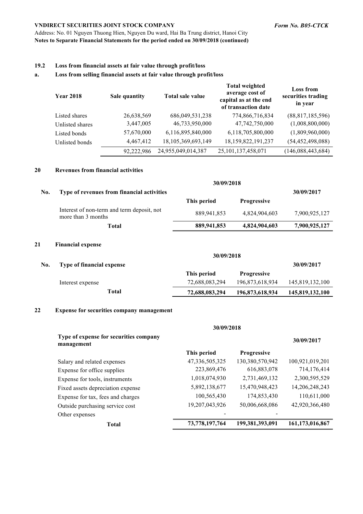Address: No. 01 Nguyen Thuong Hien, Nguyen Du ward, Hai Ba Trung district, Hanoi City **Notes to Separate Financial Statements for the period ended on 30/09/2018 (continued)**

#### **19.2 Loss from financial assets at fair value through profit/loss**

#### **a. Loss from selling financial assets at fair value through profit/loss**

| <b>Year 2018</b> | Sale quantity | Total sale value   | <b>Total weighted</b><br>average cost of<br>capital as at the end<br>of transaction date | <b>Loss from</b><br>securities trading<br>in year |
|------------------|---------------|--------------------|------------------------------------------------------------------------------------------|---------------------------------------------------|
| Listed shares    | 26,638,569    | 686,049,531,238    | 774,866,716,834                                                                          | (88,817,185,596)                                  |
| Unlisted shares  | 3,447,005     | 46,733,950,000     | 47,742,750,000                                                                           | (1,008,800,000)                                   |
| Listed bonds     | 57,670,000    | 6,116,895,840,000  | 6,118,705,800,000                                                                        | (1,809,960,000)                                   |
| Unlisted bonds   | 4,467,412     | 18,105,369,693,149 | 18,159,822,191,237                                                                       | (54, 452, 498, 088)                               |
|                  | 92,222,986    | 24,955,049,014,387 | 25, 101, 137, 458, 071                                                                   | (146,088,443,684)                                 |

#### **20 Revenues from financial activities**

| No. | Type of revenues from financial activities                       |             |                    | 30/09/2017    |
|-----|------------------------------------------------------------------|-------------|--------------------|---------------|
|     |                                                                  | This period | <b>Progressive</b> |               |
|     | Interest of non-term and term deposit, not<br>more than 3 months | 889,941,853 | 4,824,904,603      | 7,900,925,127 |
|     | Total                                                            | 889,941,853 | 4,824,904,603      | 7,900,925,127 |
|     |                                                                  |             |                    |               |

## **21 Financial expense**

|     |                           | 30/09/2018     |                    |                 |  |
|-----|---------------------------|----------------|--------------------|-----------------|--|
| No. | Type of financial expense |                |                    | 30/09/2017      |  |
|     |                           | This period    | <b>Progressive</b> |                 |  |
|     | Interest expense          | 72,688,083,294 | 196,873,618,934    | 145,819,132,100 |  |
|     | Total                     | 72,688,083,294 | 196,873,618,934    | 145,819,132,100 |  |

#### **22 Expense for securities company management**

|                                                      | 30/09/2018        |                    |                 |
|------------------------------------------------------|-------------------|--------------------|-----------------|
| Type of expense for securities company<br>management |                   |                    | 30/09/2017      |
|                                                      | This period       | <b>Progressive</b> |                 |
| Salary and related expenses                          | 47, 336, 505, 325 | 130,380,570,942    | 100,921,019,201 |
| Expense for office supplies                          | 223,869,476       | 616,883,078        | 714,176,414     |
| Expense for tools, instruments                       | 1,018,074,930     | 2,731,469,132      | 2,300,595,529   |
| Fixed assets depreciation expense                    | 5,892,138,677     | 15,470,948,423     | 14,206,248,243  |
| Expense for tax, fees and charges                    | 100,565,430       | 174,853,430        | 110,611,000     |
| Outside purchasing service cost                      | 19, 207, 043, 926 | 50,006,668,086     | 42,920,366,480  |
| Other expenses                                       |                   |                    |                 |
| <b>Total</b>                                         | 73,778,197,764    | 199,381,393,091    | 161,173,016,867 |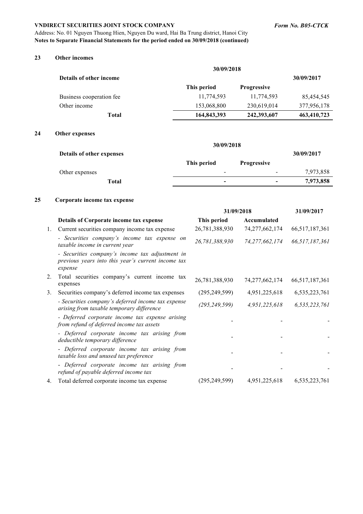Address: No. 01 Nguyen Thuong Hien, Nguyen Du ward, Hai Ba Trung district, Hanoi City **Notes to Separate Financial Statements for the period ended on 30/09/2018 (continued)**

#### **23 Other incomes**

|                          | 30/09/2018  |                    |             |
|--------------------------|-------------|--------------------|-------------|
| Details of other income  |             |                    | 30/09/2017  |
|                          | This period | <b>Progressive</b> |             |
| Business cooperation fee | 11,774,593  | 11,774,593         | 85,454,545  |
| Other income             | 153,068,800 | 230,619,014        | 377,956,178 |
| <b>Total</b>             | 164,843,393 | 242,393,607        | 463,410,723 |

## **24 Other expenses**

|                           | 30/09/2018               |                          |            |
|---------------------------|--------------------------|--------------------------|------------|
| Details of other expenses |                          |                          | 30/09/2017 |
|                           | This period              | <b>Progressive</b>       |            |
| Other expenses            | $\overline{\phantom{0}}$ | $\overline{\phantom{a}}$ | 7,973,858  |
| Total                     | $\equiv$                 | $\overline{\phantom{0}}$ | 7,973,858  |

## **25 Corporate income tax expense**

|    |                                                                                                                  | 31/09/2018      |                   | 31/09/2017        |
|----|------------------------------------------------------------------------------------------------------------------|-----------------|-------------------|-------------------|
|    | Details of Corporate income tax expense                                                                          | This period     | Accumulated       |                   |
| 1. | Current securities company income tax expense                                                                    | 26,781,388,930  | 74, 277, 662, 174 | 66, 517, 187, 361 |
|    | - Securities company's income tax expense on<br>taxable income in current year                                   | 26,781,388,930  | 74, 277, 662, 174 | 66,517,187,361    |
|    | - Securities company's income tax adjustment in<br>previous years into this year's current income tax<br>expense |                 |                   |                   |
| 2. | Total securities company's current income tax<br>expenses                                                        | 26,781,388,930  | 74, 277, 662, 174 | 66, 517, 187, 361 |
| 3. | Securities company's deferred income tax expenses                                                                | (295, 249, 599) | 4,951,225,618     | 6,535,223,761     |
|    | - Securities company's deferred income tax expense<br>arising from taxable temporary difference                  | (295, 249, 599) | 4,951,225,618     | 6,535,223,761     |
|    | - Deferred corporate income tax expense arising<br>from refund of deferred income tax assets                     |                 |                   |                   |
|    | - Deferred corporate income tax arising from<br>deductible temporary difference                                  |                 |                   |                   |
|    | - Deferred corporate income tax arising from<br>taxable loss and unused tax preference                           |                 |                   |                   |
|    | - Deferred corporate income tax arising from<br>refund of payable deferred income tax                            |                 |                   |                   |
| 4. | Total deferred corporate income tax expense                                                                      | (295, 249, 599) | 4,951,225,618     | 6,535,223,761     |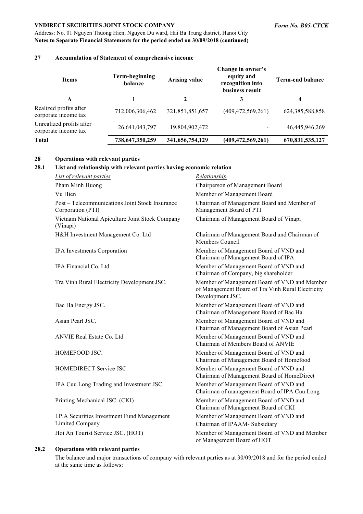Address: No. 01 Nguyen Thuong Hien, Nguyen Du ward, Hai Ba Trung district, Hanoi City **Notes to Separate Financial Statements for the period ended on 30/09/2018 (continued)**

## **27 Accumulation of Statement of comprehensive income**

| <b>Items</b>                                     | Term-beginning<br>balance | <b>Arising value</b> | Change in owner's<br>equity and<br>recognition into<br>business result | <b>Term-end balance</b> |  |
|--------------------------------------------------|---------------------------|----------------------|------------------------------------------------------------------------|-------------------------|--|
| A                                                |                           | $\mathbf 2$          | 3                                                                      | 4                       |  |
| Realized profits after<br>corporate income tax   | 712,006,306,462           | 321,851,851,657      | (409, 472, 569, 261)                                                   | 624, 385, 588, 858      |  |
| Unrealized profits after<br>corporate income tax | 26,641,043,797            | 19,804,902,472       |                                                                        | 46,445,946,269          |  |
| <b>Total</b>                                     | 738,647,350,259           | 341,656,754,129      | (409, 472, 569, 261)                                                   | 670,831,535,127         |  |

## **28 Operations with relevant parties**

#### **28.1 List and relationship with relevant parties having economic relation**

| <b>List of relevant parties</b>                                      | Relationship                                                                                                          |
|----------------------------------------------------------------------|-----------------------------------------------------------------------------------------------------------------------|
| Pham Minh Huong                                                      | Chairperson of Management Board                                                                                       |
| Vu Hien                                                              | Member of Management Board                                                                                            |
| Post – Telecommunications Joint Stock Insurance<br>Corporation (PTI) | Chairman of Management Board and Member of<br>Management Board of PTI                                                 |
| Vietnam National Apiculture Joint Stock Company<br>(Vinapi)          | Chairman of Management Board of Vinapi                                                                                |
| H&H Investment Management Co. Ltd                                    | Chairman of Management Board and Chairman of<br>Members Council                                                       |
| IPA Investments Corporation                                          | Member of Management Board of VND and<br>Chairman of Management Board of IPA                                          |
| IPA Financial Co. Ltd                                                | Member of Management Board of VND and<br>Chairman of Company, big shareholder                                         |
| Tra Vinh Rural Electricity Development JSC.                          | Member of Management Board of VND and Member<br>of Management Board of Tra Vinh Rural Electricity<br>Development JSC. |
| Bac Ha Energy JSC.                                                   | Member of Management Board of VND and<br>Chairman of Management Board of Bac Ha                                       |
| Asian Pearl JSC.                                                     | Member of Management Board of VND and<br>Chairman of Management Board of Asian Pearl                                  |
| <b>ANVIE Real Estate Co. Ltd</b>                                     | Member of Management Board of VND and<br>Chairman of Members Board of ANVIE                                           |
| HOMEFOOD JSC.                                                        | Member of Management Board of VND and<br>Chairman of Management Board of Homefood                                     |
| HOMEDIRECT Service JSC.                                              | Member of Management Board of VND and<br>Chairman of Management Board of HomeDirect                                   |
| IPA Cuu Long Trading and Investment JSC.                             | Member of Management Board of VND and<br>Chairman of management Board of IPA Cuu Long                                 |
| Printing Mechanical JSC. (CKI)                                       | Member of Management Board of VND and<br>Chairman of Management Board of CKI                                          |
| I.P.A Securities Investment Fund Management<br>Limited Company       | Member of Management Board of VND and<br>Chairman of IPAAM- Subsidiary                                                |
| Hoi An Tourist Service JSC. (HOT)                                    | Member of Management Board of VND and Member<br>of Management Board of HOT                                            |

#### **28.2 Operations with relevant parties**

The balance and major transactions of company with relevant parties as at 30/09/2018 and for the period ended at the same time as follows: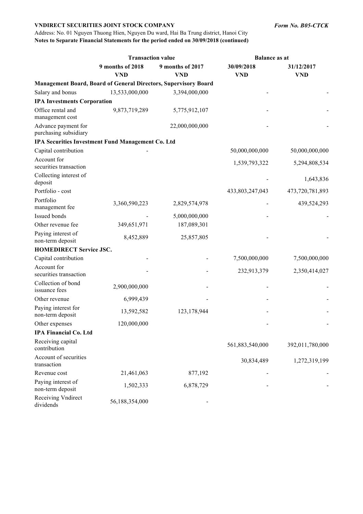Address: No. 01 Nguyen Thuong Hien, Nguyen Du ward, Hai Ba Trung district, Hanoi City **Notes to Separate Financial Statements for the period ended on 30/09/2018 (continued)**

|                                              | <b>Transaction value</b>                          |                                                                 | <b>Balance as at</b>     |                          |
|----------------------------------------------|---------------------------------------------------|-----------------------------------------------------------------|--------------------------|--------------------------|
|                                              | 9 months of 2018<br><b>VND</b>                    | 9 months of 2017<br><b>VND</b>                                  | 30/09/2018<br><b>VND</b> | 31/12/2017<br><b>VND</b> |
|                                              |                                                   | Management Board, Board of General Directors, Supervisory Board |                          |                          |
| Salary and bonus                             | 13,533,000,000                                    | 3,394,000,000                                                   |                          |                          |
| <b>IPA Investments Corporation</b>           |                                                   |                                                                 |                          |                          |
| Office rental and<br>management cost         | 9,873,719,289                                     | 5,775,912,107                                                   |                          |                          |
| Advance payment for<br>purchasing subsidiary |                                                   | 22,000,000,000                                                  |                          |                          |
|                                              | IPA Securities Investment Fund Management Co. Ltd |                                                                 |                          |                          |
| Capital contribution                         |                                                   |                                                                 | 50,000,000,000           | 50,000,000,000           |
| Account for<br>securities transaction        |                                                   |                                                                 | 1,539,793,322            | 5,294,808,534            |
| Collecting interest of<br>deposit            |                                                   |                                                                 |                          | 1,643,836                |
| Portfolio - cost                             |                                                   |                                                                 | 433,803,247,043          | 473,720,781,893          |
| Portfolio<br>management fee                  | 3,360,590,223                                     | 2,829,574,978                                                   |                          | 439,524,293              |
| Issued bonds                                 |                                                   | 5,000,000,000                                                   |                          |                          |
| Other revenue fee                            | 349,651,971                                       | 187,089,301                                                     |                          |                          |
| Paying interest of<br>non-term deposit       | 8,452,889                                         | 25,857,805                                                      |                          |                          |
| <b>HOMEDIRECT Service JSC.</b>               |                                                   |                                                                 |                          |                          |
| Capital contribution                         |                                                   |                                                                 | 7,500,000,000            | 7,500,000,000            |
| Account for<br>securities transaction        |                                                   |                                                                 | 232,913,379              | 2,350,414,027            |
| Collection of bond<br>issuance fees          | 2,900,000,000                                     |                                                                 |                          |                          |
| Other revenue                                | 6,999,439                                         |                                                                 |                          |                          |
| Paying interest for<br>non-term deposit      | 13,592,582                                        | 123,178,944                                                     |                          |                          |
| Other expenses                               | 120,000,000                                       |                                                                 |                          |                          |
| <b>IPA Financial Co. Ltd</b>                 |                                                   |                                                                 |                          |                          |
| Receiving capital<br>contribution            |                                                   |                                                                 | 561,883,540,000          | 392,011,780,000          |
| Account of securities<br>transaction         |                                                   |                                                                 | 30,834,489               | 1,272,319,199            |
| Revenue cost                                 | 21,461,063                                        | 877,192                                                         |                          |                          |
| Paying interest of<br>non-term deposit       | 1,502,333                                         | 6,878,729                                                       |                          |                          |
| Receiving Vndirect<br>dividends              | 56,188,354,000                                    |                                                                 |                          |                          |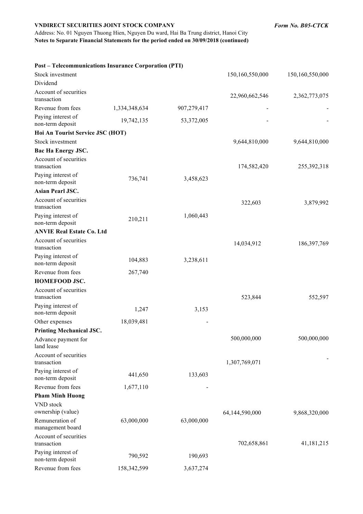Address: No. 01 Nguyen Thuong Hien, Nguyen Du ward, Hai Ba Trung district, Hanoi City **Notes to Separate Financial Statements for the period ended on 30/09/2018 (continued)**

**Post – Telecommunications Insurance Corporation (PTI)**

| Stock investment                       |               |             | 150,160,550,000 | 150,160,550,000 |
|----------------------------------------|---------------|-------------|-----------------|-----------------|
| Dividend                               |               |             |                 |                 |
| Account of securities<br>transaction   |               |             | 22,960,662,546  | 2,362,773,075   |
| Revenue from fees                      | 1,334,348,634 | 907,279,417 |                 |                 |
| Paying interest of<br>non-term deposit | 19,742,135    | 53,372,005  |                 |                 |
| Hoi An Tourist Service JSC (HOT)       |               |             |                 |                 |
| Stock investment                       |               |             | 9,644,810,000   | 9,644,810,000   |
| Bac Ha Energy JSC.                     |               |             |                 |                 |
| Account of securities<br>transaction   |               |             | 174,582,420     | 255,392,318     |
| Paying interest of<br>non-term deposit | 736,741       | 3,458,623   |                 |                 |
| <b>Asian Pearl JSC.</b>                |               |             |                 |                 |
| Account of securities<br>transaction   |               |             | 322,603         | 3,879,992       |
| Paying interest of<br>non-term deposit | 210,211       | 1,060,443   |                 |                 |
| <b>ANVIE Real Estate Co. Ltd</b>       |               |             |                 |                 |
| Account of securities<br>transaction   |               |             | 14,034,912      | 186, 397, 769   |
| Paying interest of<br>non-term deposit | 104,883       | 3,238,611   |                 |                 |
| Revenue from fees                      | 267,740       |             |                 |                 |
| HOMEFOOD JSC.                          |               |             |                 |                 |
| Account of securities<br>transaction   |               |             | 523,844         | 552,597         |
| Paying interest of<br>non-term deposit | 1,247         | 3,153       |                 |                 |
| Other expenses                         | 18,039,481    |             |                 |                 |
| <b>Printing Mechanical JSC.</b>        |               |             |                 |                 |
| Advance payment for<br>land lease      |               |             | 500,000,000     | 500,000,000     |
| Account of securities<br>transaction   |               |             | 1,307,769,071   |                 |
| Paying interest of<br>non-term deposit | 441,650       | 133,603     |                 |                 |
| Revenue from fees                      | 1,677,110     |             |                 |                 |
| <b>Pham Minh Huong</b>                 |               |             |                 |                 |
| VND stock<br>ownership (value)         |               |             | 64,144,590,000  | 9,868,320,000   |
| Remuneration of<br>management board    | 63,000,000    | 63,000,000  |                 |                 |
| Account of securities<br>transaction   |               |             | 702,658,861     | 41,181,215      |
| Paying interest of<br>non-term deposit | 790,592       | 190,693     |                 |                 |
| Revenue from fees                      | 158,342,599   | 3,637,274   |                 |                 |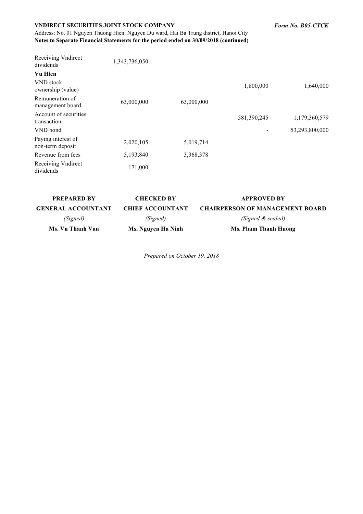Address: No. 01 Nguyen Thuong Hien, Nguyen Du ward, Hai Ba Trung district, Hanoi City **Notes to Separate Financial Statements for the period ended on 30/09/2018 (continued)** *Form No. B05-CTCK*

| Receiving Vndirect<br>dividends        | 1,343,736,050 |            |             |                |
|----------------------------------------|---------------|------------|-------------|----------------|
| <b>Vu Hien</b>                         |               |            |             |                |
| VND stock<br>ownership (value)         |               |            | 1,800,000   | 1,640,000      |
| Remuneration of<br>management board    | 63,000,000    | 63,000,000 |             |                |
| Account of securities<br>transaction   |               |            | 581,390,245 | 1,179,360,579  |
| VND bond                               |               |            |             | 53,293,800,000 |
| Paying interest of<br>non-term deposit | 2,020,105     | 5,019,714  |             |                |
| Revenue from fees                      | 5,193,840     | 3,368,378  |             |                |
| Receiving Vndirect<br>dividends        | 171,000       |            |             |                |

| <b>PREPARED BY</b>        | <b>CHECKED BY</b>       | <b>APPROVED BY</b>                     |
|---------------------------|-------------------------|----------------------------------------|
| <b>GENERAL ACCOUNTANT</b> | <b>CHIEF ACCOUNTANT</b> | <b>CHAIRPERSON OF MANAGEMENT BOARD</b> |
| (Signed)                  | (Signed)                | (Signed & sealed)                      |
| Ms. Vu Thanh Van          | Ms. Nguyen Ha Ninh      | Ms. Pham Thanh Huong                   |

*Prepared on October 19, 2018*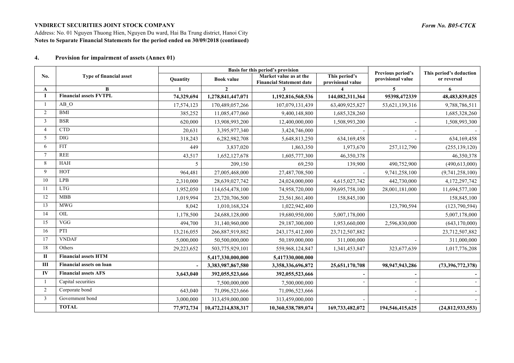Address: No. 01 Nguyen Thuong Hien, Nguyen Du ward, Hai Ba Trung district, Hanoi City **Notes to Separate Financial Statements for the period ended on 30/09/2018 (continued)**

#### **4. Provision for impairment of assets (Annex 01)**

|                |                                 | Basis for this period's provision |                    |                                                           |                                    | Previous period's | This period's deduction |
|----------------|---------------------------------|-----------------------------------|--------------------|-----------------------------------------------------------|------------------------------------|-------------------|-------------------------|
| No.            | Type of financial asset         | <b>Quantity</b>                   | <b>Book value</b>  | Market value as at the<br><b>Financial Statement date</b> | This period's<br>provisional value | provisional value | or reversal             |
| A              | В                               |                                   | $\mathbf{2}$       |                                                           |                                    | 5                 | 6                       |
| T              | <b>Financial assets FVTPL</b>   | 74,329,694                        | 1,278,841,447,071  | 1,192,816,568,536                                         | 144,082,311,364                    | 95398,472339      | 48,483,839,025          |
|                | AB O                            | 17,574,123                        | 170,489,057,266    | 107,079,131,439                                           | 63,409,925,827                     | 53,621,139,316    | 9,788,786,511           |
| $\overline{2}$ | <b>BMI</b>                      | 385,252                           | 11,085,477,060     | 9,400,148,800                                             | 1,685,328,260                      |                   | 1,685,328,260           |
| $\overline{3}$ | <b>BSR</b>                      | 620,000                           | 13,908,993,200     | 12,400,000,000                                            | 1,508,993,200                      |                   | 1,508,993,300           |
| $\overline{4}$ | <b>CTD</b>                      | 20,631                            | 3,395,977,340      | 3,424,746,000                                             |                                    |                   |                         |
| 5              | <b>DIG</b>                      | 318,243                           | 6,282,982,708      | 5,648,813,250                                             | 634,169,458                        |                   | 634,169,458             |
| 6              | <b>FIT</b>                      | 449                               | 3,837,020          | 1,863,350                                                 | 1,973,670                          | 257,112,790       | (255, 139, 120)         |
|                | <b>REE</b>                      | 43,517                            | 1,652,127,678      | 1,605,777,300                                             | 46,350,378                         |                   | 46,350,378              |
| 8              | HAH                             | 5                                 | 209,150            | 69,250                                                    | 139,900                            | 490,752,900       | (490, 613, 000)         |
| 9              | <b>HOT</b>                      | 964,481                           | 27,005,468,000     | 27,487,708,500                                            |                                    | 9,741,258,100     | (9,741,258,100)         |
| 10             | <b>LPB</b>                      | 2,310,000                         | 28,639,027,742     | 24,024,000,000                                            | 4,615,027,742                      | 442,730,000       | 4,172,297,742           |
| 11             | <b>LTG</b>                      | 1,952,050                         | 114,654,478,100    | 74,958,720,000                                            | 39,695,758,100                     | 28,001,181,000    | 11,694,577,100          |
| 12             | <b>MBB</b>                      | 1,019,994                         | 23,720,706,500     | 23,561,861,400                                            | 158,845,100                        |                   | 158,845,100             |
| 13             | <b>MWG</b>                      | 8,042                             | 1,010,168,324      | 1,022,942,400                                             |                                    | 123,790,594       | (123,790,594)           |
| 14             | OIL                             | 1,178,500                         | 24,688,128,000     | 19,680,950,000                                            | 5,007,178,000                      |                   | 5,007,178,000           |
| 15             | VGG                             | 494,700                           | 31,140,960,000     | 29,187,300,000                                            | 1,953,660,000                      | 2,596,830,000     | (643, 170, 000)         |
| 16             | PTI                             | 13,216,055                        | 266,887,919,882    | 243,175,412,000                                           | 23,712,507,882                     |                   | 23,712,507,882          |
| 17             | <b>VNDAF</b>                    | 5,000,000                         | 50,500,000,000     | 50,189,000,000                                            | 311,000,000                        |                   | 311,000,000             |
| 18             | Others                          | 29,223,652                        | 503,775,929,101    | 559,968,124,847                                           | 1,341,453,847                      | 323,677,639       | 1,017,776,208           |
| П              | <b>Financial assets HTM</b>     |                                   | 5,417,330,000,000  | 5,417330,000,000                                          |                                    |                   |                         |
| Ш              | <b>Financial assets on loan</b> |                                   | 3,383,987,867,580  | 3,358,336,696,872                                         | 25,651,170,708                     | 98,947,943,286    | (73,396,772,378)        |
| IV             | <b>Financial assets AFS</b>     | 3,643,040                         | 392,055,523,666    | 392,055,523,666                                           |                                    |                   |                         |
|                | Capital securities              |                                   | 7,500,000,000      | 7,500,000,000                                             |                                    |                   |                         |
| $\overline{2}$ | Corporate bond                  | 643,040                           | 71,096,523,666     | 71,096,523,666                                            |                                    |                   |                         |
| $\overline{3}$ | Government bond                 | 3,000,000                         | 313,459,000,000    | 313,459,000,000                                           |                                    |                   |                         |
|                | <b>TOTAL</b>                    | 77,972,734                        | 10,472,214,838,317 | 10,360,538,789,074                                        | 169,733,482,072                    | 194,546,415,625   | (24, 812, 933, 553)     |